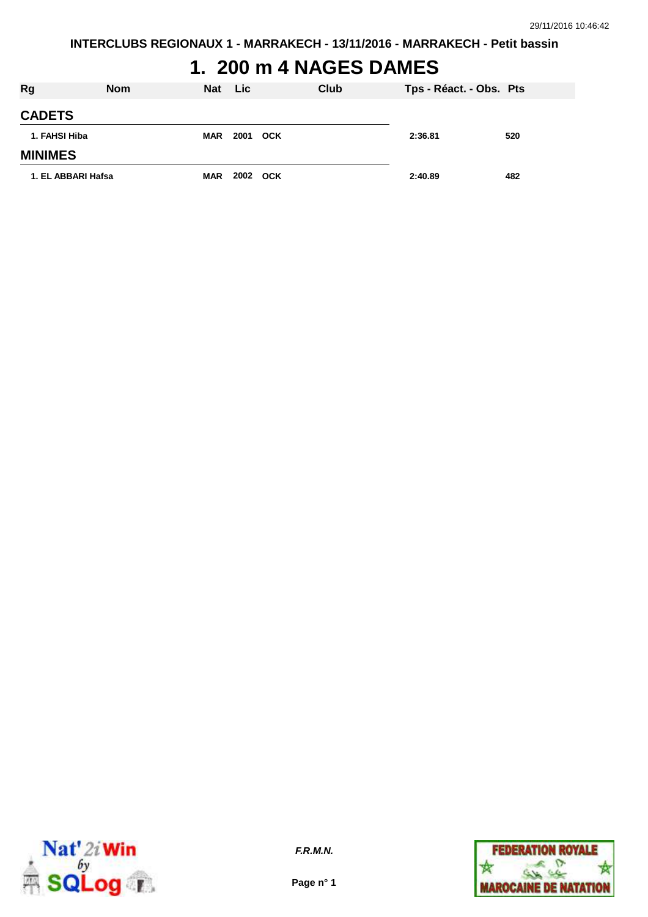# **1. 200 m 4 NAGES DAMES**

| <b>Rg</b>          | <b>Nom</b> | <b>Nat</b> | <b>Lic</b> | Club | Tps - Réact. - Obs. Pts |     |
|--------------------|------------|------------|------------|------|-------------------------|-----|
| <b>CADETS</b>      |            |            |            |      |                         |     |
| 1. FAHSI Hiba      |            | MAR        | 2001 OCK   |      | 2:36.81                 | 520 |
| <b>MINIMES</b>     |            |            |            |      |                         |     |
| 1. EL ABBARI Hafsa |            | <b>MAR</b> | 2002 OCK   |      | 2:40.89                 | 482 |



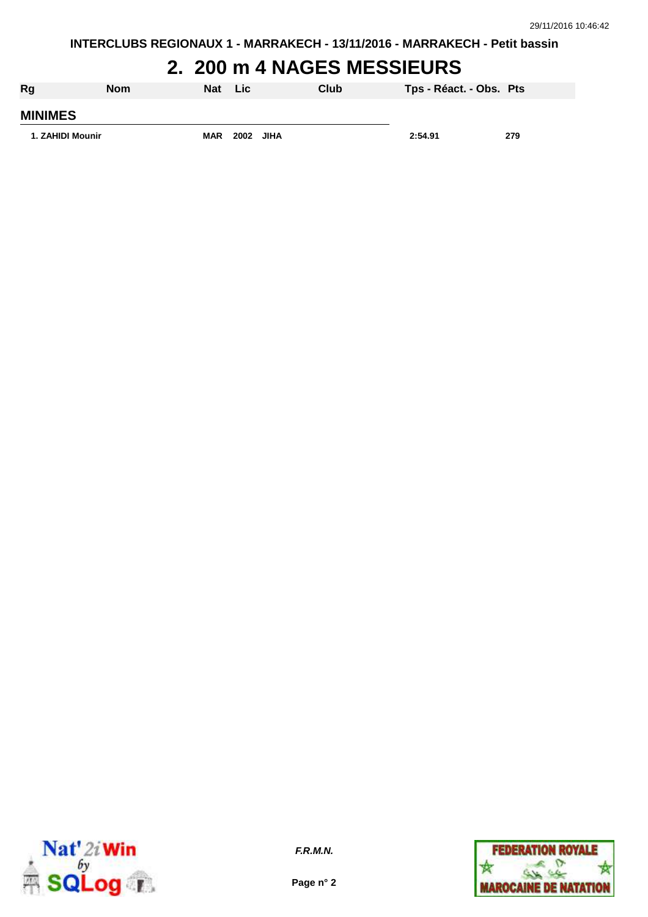**INTERCLUBS REGIONAUX 1 - MARRAKECH - 13/11/2016 - MARRAKECH - Petit bassin**

### **2. 200 m 4 NAGES MESSIEURS**

| Rg               | <b>Nom</b> | Nat        | <b>Lic</b> | <b>Club</b> | Tps - Réact. - Obs. Pts |     |
|------------------|------------|------------|------------|-------------|-------------------------|-----|
| <b>MINIMES</b>   |            |            |            |             |                         |     |
| 1. ZAHIDI Mounir |            | <b>MAR</b> | 2002 JIHA  |             | 2:54.91                 | 279 |



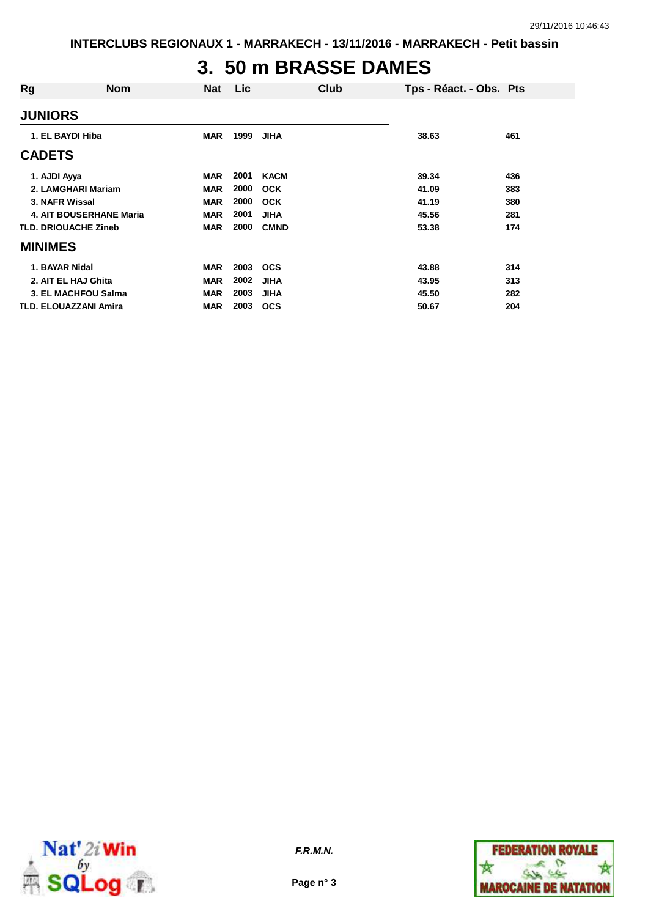### **3. 50 m BRASSE DAMES**

| Rg                             | <b>Nom</b> | <b>Nat</b> | Lic  | Club        | Tps - Réact. - Obs. Pts |     |
|--------------------------------|------------|------------|------|-------------|-------------------------|-----|
| <b>JUNIORS</b>                 |            |            |      |             |                         |     |
| 1. EL BAYDI Hiba               |            | <b>MAR</b> | 1999 | JIHA        | 38.63                   | 461 |
| <b>CADETS</b>                  |            |            |      |             |                         |     |
| 1. AJDI Ayya                   |            | <b>MAR</b> | 2001 | <b>KACM</b> | 39.34                   | 436 |
| 2. LAMGHARI Mariam             |            | <b>MAR</b> | 2000 | <b>OCK</b>  | 41.09                   | 383 |
| 3. NAFR Wissal                 |            | <b>MAR</b> | 2000 | <b>OCK</b>  | 41.19                   | 380 |
| <b>4. AIT BOUSERHANE Maria</b> |            | <b>MAR</b> | 2001 | <b>JIHA</b> | 45.56                   | 281 |
| <b>TLD. DRIOUACHE Zineb</b>    |            | <b>MAR</b> | 2000 | <b>CMND</b> | 53.38                   | 174 |
| <b>MINIMES</b>                 |            |            |      |             |                         |     |
| 1. BAYAR Nidal                 |            | <b>MAR</b> | 2003 | <b>OCS</b>  | 43.88                   | 314 |
| 2. AIT EL HAJ Ghita            |            | <b>MAR</b> | 2002 | <b>JIHA</b> | 43.95                   | 313 |
| 3. EL MACHFOU Salma            |            | <b>MAR</b> | 2003 | <b>JIHA</b> | 45.50                   | 282 |
| <b>TLD. ELOUAZZANI Amira</b>   |            | <b>MAR</b> | 2003 | <b>OCS</b>  | 50.67                   | 204 |



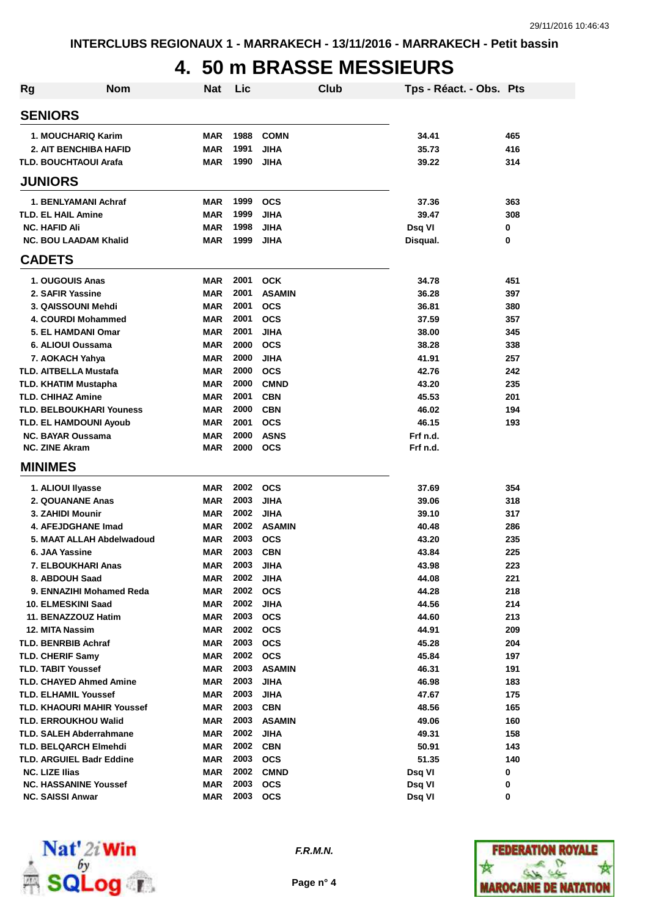## **4. 50 m BRASSE MESSIEURS**

| Rg | <b>Nom</b>                                                  | <b>Nat</b> | Lic          |                              | Club | Tps - Réact. - Obs. Pts |            |
|----|-------------------------------------------------------------|------------|--------------|------------------------------|------|-------------------------|------------|
|    | <b>SENIORS</b>                                              |            |              |                              |      |                         |            |
|    | 1. MOUCHARIQ Karim                                          | <b>MAR</b> | 1988         | <b>COMN</b>                  |      | 34.41                   | 465        |
|    | <b>2. AIT BENCHIBA HAFID</b>                                | <b>MAR</b> | 1991         | <b>JIHA</b>                  |      | 35.73                   | 416        |
|    | <b>TLD. BOUCHTAOUI Arafa</b>                                | <b>MAR</b> | 1990         | <b>JIHA</b>                  |      | 39.22                   | 314        |
|    | <b>JUNIORS</b>                                              |            |              |                              |      |                         |            |
|    |                                                             |            |              |                              |      |                         |            |
|    | 1. BENLYAMANI Achraf                                        | <b>MAR</b> | 1999         | <b>OCS</b>                   |      | 37.36                   | 363        |
|    | <b>TLD. EL HAIL Amine</b>                                   | <b>MAR</b> | 1999         | <b>JIHA</b>                  |      | 39.47                   | 308        |
|    | <b>NC. HAFID Ali</b>                                        | MAR        | 1998<br>1999 | <b>JIHA</b>                  |      | Dsq VI                  | 0          |
|    | <b>NC. BOU LAADAM Khalid</b>                                | MAR        |              | <b>JIHA</b>                  |      | Disqual.                | 0          |
|    | <b>CADETS</b>                                               |            |              |                              |      |                         |            |
|    | 1. OUGOUIS Anas                                             | MAR        | 2001         | <b>OCK</b>                   |      | 34.78                   | 451        |
|    | 2. SAFIR Yassine                                            | <b>MAR</b> | 2001         | <b>ASAMIN</b>                |      | 36.28                   | 397        |
|    | 3. QAISSOUNI Mehdi                                          | <b>MAR</b> | 2001         | <b>OCS</b>                   |      | 36.81                   | 380        |
|    | 4. COURDI Mohammed                                          | <b>MAR</b> | 2001         | <b>OCS</b>                   |      | 37.59                   | 357        |
|    | 5. EL HAMDANI Omar                                          | <b>MAR</b> | 2001         | <b>JIHA</b>                  |      | 38.00                   | 345        |
|    | 6. ALIOUI Oussama                                           | <b>MAR</b> | 2000         | <b>OCS</b>                   |      | 38.28                   | 338        |
|    | 7. AOKACH Yahya                                             | <b>MAR</b> | 2000         | <b>JIHA</b>                  |      | 41.91                   | 257        |
|    | <b>TLD. AITBELLA Mustafa</b>                                | <b>MAR</b> | 2000         | <b>OCS</b>                   |      | 42.76                   | 242        |
|    | <b>TLD. KHATIM Mustapha</b>                                 | <b>MAR</b> | 2000         | <b>CMND</b>                  |      | 43.20                   | 235        |
|    | <b>TLD. CHIHAZ Amine</b>                                    | <b>MAR</b> | 2001         | <b>CBN</b>                   |      | 45.53                   | 201        |
|    | <b>TLD. BELBOUKHARI Youness</b>                             | <b>MAR</b> | 2000         | <b>CBN</b>                   |      | 46.02                   | 194        |
|    | <b>TLD. EL HAMDOUNI Ayoub</b>                               | <b>MAR</b> | 2001         | <b>OCS</b>                   |      | 46.15                   | 193        |
|    | <b>NC. BAYAR Oussama</b>                                    | <b>MAR</b> | 2000         | <b>ASNS</b>                  |      | Frf n.d.                |            |
|    | <b>NC. ZINE Akram</b>                                       | <b>MAR</b> | 2000         | <b>OCS</b>                   |      | Frf n.d.                |            |
|    | <b>MINIMES</b>                                              |            |              |                              |      |                         |            |
|    | 1. ALIOUI Ilyasse                                           | MAR        | 2002         | <b>OCS</b>                   |      | 37.69                   | 354        |
|    | 2. QOUANANE Anas                                            | <b>MAR</b> | 2003         | <b>JIHA</b>                  |      | 39.06                   | 318        |
|    | 3. ZAHIDI Mounir                                            | <b>MAR</b> | 2002         | <b>JIHA</b>                  |      | 39.10                   | 317        |
|    | 4. AFEJDGHANE Imad                                          | <b>MAR</b> | 2002         | <b>ASAMIN</b>                |      | 40.48                   | 286        |
|    | 5. MAAT ALLAH Abdelwadoud                                   | <b>MAR</b> | 2003         | <b>OCS</b>                   |      | 43.20                   | 235        |
|    | 6. JAA Yassine                                              | <b>MAR</b> | 2003         | <b>CBN</b>                   |      | 43.84                   | 225        |
|    | 7. ELBOUKHARI Anas                                          | MAR        | 2003         | <b>JIHA</b>                  |      | 43.98                   | 223        |
|    | 8. ABDOUH Saad                                              | MAR        | 2002         | <b>JIHA</b>                  |      | 44.08                   | 221        |
|    | 9. ENNAZIHI Mohamed Reda                                    | <b>MAR</b> | 2002         | <b>OCS</b>                   |      | 44.28                   | 218        |
|    | 10. ELMESKINI Saad                                          | MAR        | 2002         | <b>JIHA</b>                  |      | 44.56                   | 214        |
|    | 11. BENAZZOUZ Hatim                                         | MAR        | 2003         | <b>OCS</b>                   |      | 44.60                   | 213        |
|    | 12. MITA Nassim                                             | MAR        | 2002         | <b>OCS</b>                   |      | 44.91                   | 209        |
|    | <b>TLD. BENRBIB Achraf</b>                                  | MAR        | 2003<br>2002 | <b>OCS</b>                   |      | 45.28                   | 204        |
|    | <b>TLD. CHERIF Samy</b>                                     | MAR        | 2003         | <b>OCS</b>                   |      | 45.84                   | 197        |
|    | <b>TLD. TABIT Youssef</b><br><b>TLD. CHAYED Ahmed Amine</b> | MAR<br>MAR | 2003         | <b>ASAMIN</b><br><b>JIHA</b> |      | 46.31                   | 191        |
|    | <b>TLD. ELHAMIL Youssef</b>                                 | MAR        | 2003         | <b>JIHA</b>                  |      | 46.98                   | 183<br>175 |
|    | <b>TLD. KHAOURI MAHIR Youssef</b>                           | MAR        | 2003         | <b>CBN</b>                   |      | 47.67<br>48.56          | 165        |
|    | <b>TLD. ERROUKHOU Walid</b>                                 | MAR        | 2003         | <b>ASAMIN</b>                |      | 49.06                   | 160        |
|    | <b>TLD. SALEH Abderrahmane</b>                              | MAR        | 2002         | <b>JIHA</b>                  |      | 49.31                   | 158        |
|    | <b>TLD. BELQARCH Elmehdi</b>                                | MAR        | 2002         | <b>CBN</b>                   |      | 50.91                   | 143        |
|    | <b>TLD. ARGUIEL Badr Eddine</b>                             | MAR        | 2003         | <b>OCS</b>                   |      | 51.35                   | 140        |
|    | <b>NC. LIZE Ilias</b>                                       | MAR        | 2002         | <b>CMND</b>                  |      | Dsq VI                  | 0          |
|    | <b>NC. HASSANINE Youssef</b>                                | <b>MAR</b> | 2003         | <b>OCS</b>                   |      | Dsq VI                  | 0          |
|    | <b>NC. SAISSI Anwar</b>                                     | MAR        | 2003         | <b>OCS</b>                   |      | Dsq VI                  | 0          |



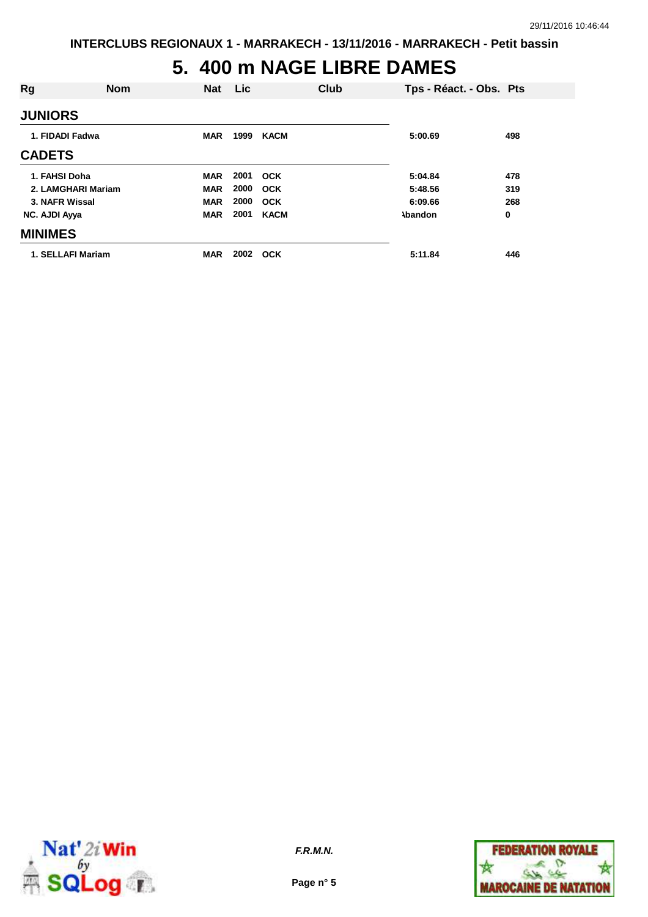#### **5. 400 m NAGE LIBRE DAMES**

| Rg              | <b>Nom</b>         | <b>Nat</b> | Lic  |             | Club | Tps - Réact. - Obs. Pts |     |
|-----------------|--------------------|------------|------|-------------|------|-------------------------|-----|
| <b>JUNIORS</b>  |                    |            |      |             |      |                         |     |
| 1. FIDADI Fadwa |                    | <b>MAR</b> | 1999 | <b>KACM</b> |      | 5:00.69                 | 498 |
| <b>CADETS</b>   |                    |            |      |             |      |                         |     |
| 1. FAHSI Doha   |                    | <b>MAR</b> | 2001 | OCK         |      | 5:04.84                 | 478 |
|                 | 2. LAMGHARI Mariam | <b>MAR</b> | 2000 | <b>OCK</b>  |      | 5:48.56                 | 319 |
| 3. NAFR Wissal  |                    | <b>MAR</b> | 2000 | <b>OCK</b>  |      | 6:09.66                 | 268 |
| NC. AJDI Ayya   |                    | <b>MAR</b> | 2001 | <b>KACM</b> |      | <b>\bandon</b>          | 0   |
| <b>MINIMES</b>  |                    |            |      |             |      |                         |     |
|                 | 1. SELLAFI Mariam  | <b>MAR</b> | 2002 | <b>OCK</b>  |      | 5:11.84                 | 446 |



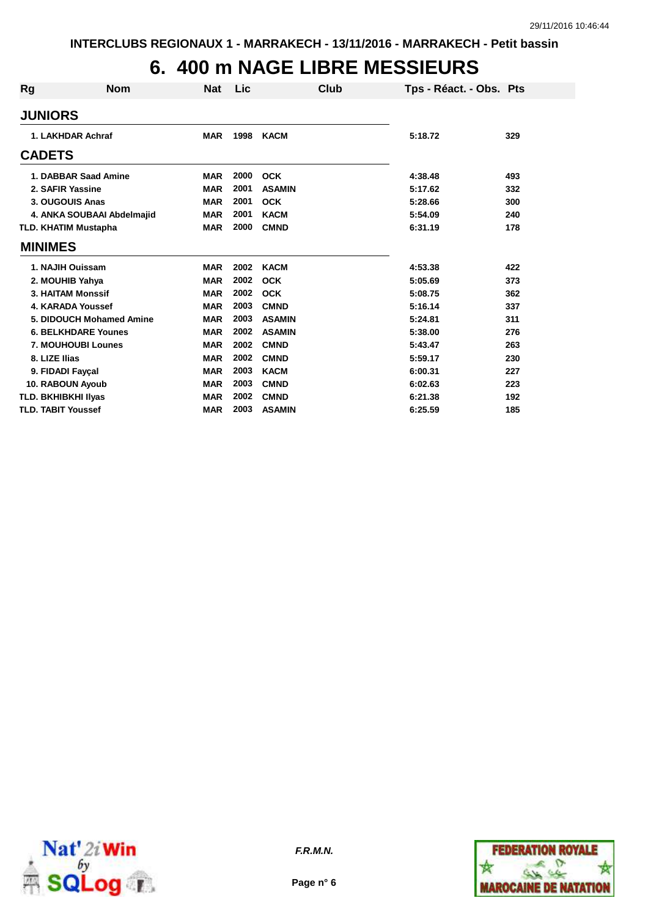### **6. 400 m NAGE LIBRE MESSIEURS**

| <b>Rg</b> | <b>Nom</b>                  | <b>Nat</b> | Lic  | Club          | Tps - Réact. - Obs. Pts |     |
|-----------|-----------------------------|------------|------|---------------|-------------------------|-----|
|           | <b>JUNIORS</b>              |            |      |               |                         |     |
|           | 1. LAKHDAR Achraf           | <b>MAR</b> | 1998 | <b>KACM</b>   | 5:18.72                 | 329 |
|           | <b>CADETS</b>               |            |      |               |                         |     |
|           | 1. DABBAR Saad Amine        | <b>MAR</b> | 2000 | <b>OCK</b>    | 4:38.48                 | 493 |
|           | 2. SAFIR Yassine            | <b>MAR</b> | 2001 | <b>ASAMIN</b> | 5:17.62                 | 332 |
|           | 3. OUGOUIS Anas             | <b>MAR</b> | 2001 | <b>OCK</b>    | 5:28.66                 | 300 |
|           | 4. ANKA SOUBAAI Abdelmajid  | <b>MAR</b> | 2001 | <b>KACM</b>   | 5:54.09                 | 240 |
|           | <b>TLD. KHATIM Mustapha</b> | <b>MAR</b> | 2000 | <b>CMND</b>   | 6:31.19                 | 178 |
|           | <b>MINIMES</b>              |            |      |               |                         |     |
|           | 1. NAJIH Ouissam            | <b>MAR</b> | 2002 | <b>KACM</b>   | 4:53.38                 | 422 |
|           | 2. MOUHIB Yahya             | <b>MAR</b> | 2002 | <b>OCK</b>    | 5:05.69                 | 373 |
|           | <b>3. HAITAM Monssif</b>    | <b>MAR</b> | 2002 | <b>OCK</b>    | 5:08.75                 | 362 |
|           | 4. KARADA Youssef           | <b>MAR</b> | 2003 | <b>CMND</b>   | 5:16.14                 | 337 |
|           | 5. DIDOUCH Mohamed Amine    | <b>MAR</b> | 2003 | <b>ASAMIN</b> | 5:24.81                 | 311 |
|           | <b>6. BELKHDARE Younes</b>  | <b>MAR</b> | 2002 | <b>ASAMIN</b> | 5:38.00                 | 276 |
|           | <b>7. MOUHOUBI Lounes</b>   | <b>MAR</b> | 2002 | <b>CMND</b>   | 5:43.47                 | 263 |
|           | 8. LIZE Ilias               | <b>MAR</b> | 2002 | <b>CMND</b>   | 5:59.17                 | 230 |
|           | 9. FIDADI Fayçal            | <b>MAR</b> | 2003 | <b>KACM</b>   | 6:00.31                 | 227 |
|           | 10. RABOUN Ayoub            | <b>MAR</b> | 2003 | <b>CMND</b>   | 6:02.63                 | 223 |
|           | <b>TLD. BKHIBKHI IIyas</b>  | <b>MAR</b> | 2002 | <b>CMND</b>   | 6:21.38                 | 192 |
|           | <b>TLD. TABIT Youssef</b>   | <b>MAR</b> | 2003 | <b>ASAMIN</b> | 6:25.59                 | 185 |



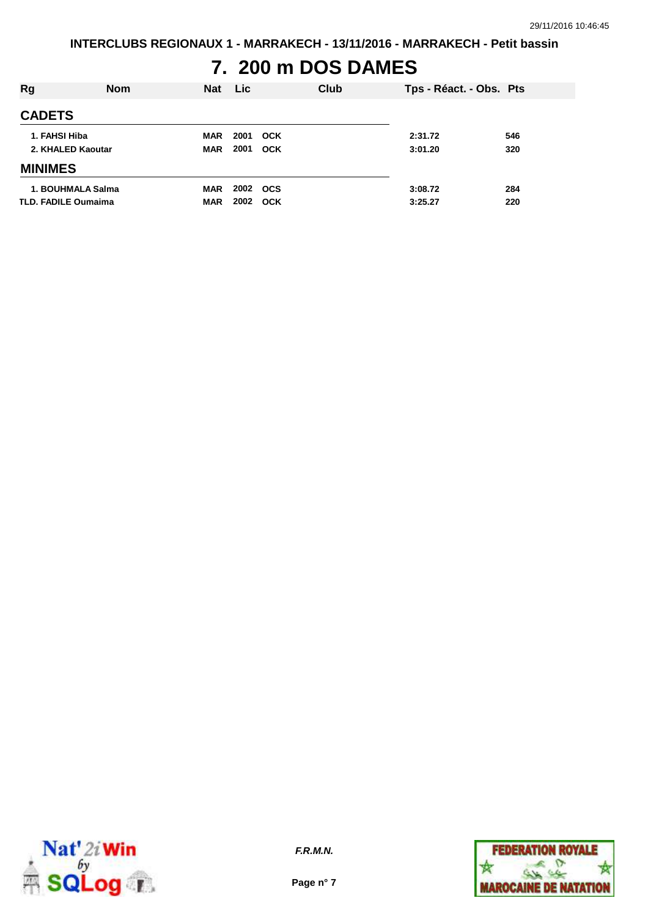# **7. 200 m DOS DAMES**

| <b>Rg</b>                  | <b>Nom</b>        | <b>Nat</b> | <b>Lic</b> | Club       | Tps - Réact. - Obs. Pts |     |
|----------------------------|-------------------|------------|------------|------------|-------------------------|-----|
| <b>CADETS</b>              |                   |            |            |            |                         |     |
| 1. FAHSI Hiba              |                   | MAR        | 2001       | <b>OCK</b> | 2:31.72                 | 546 |
| 2. KHALED Kaoutar          |                   | <b>MAR</b> | 2001       | <b>OCK</b> | 3:01.20                 | 320 |
| <b>MINIMES</b>             |                   |            |            |            |                         |     |
|                            | 1. BOUHMALA Salma | <b>MAR</b> | 2002       | <b>OCS</b> | 3:08.72                 | 284 |
| <b>TLD. FADILE Oumaima</b> |                   | <b>MAR</b> | 2002       | OCK        | 3:25.27                 | 220 |



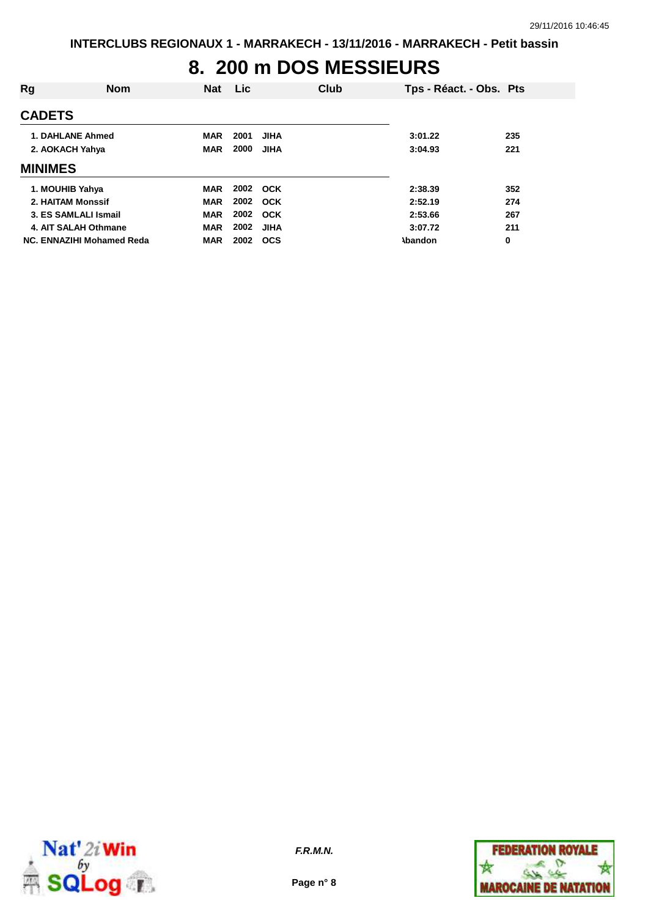# **8. 200 m DOS MESSIEURS**

| Rg                   | <b>Nom</b>                | <b>Nat</b> | Lic. | <b>Club</b> | Tps - Réact. - Obs. Pts |     |
|----------------------|---------------------------|------------|------|-------------|-------------------------|-----|
| <b>CADETS</b>        |                           |            |      |             |                         |     |
| 1. DAHLANE Ahmed     |                           | <b>MAR</b> | 2001 | <b>JIHA</b> | 3:01.22                 | 235 |
| 2. AOKACH Yahya      |                           | <b>MAR</b> | 2000 | <b>JIHA</b> | 3:04.93                 | 221 |
| <b>MINIMES</b>       |                           |            |      |             |                         |     |
| 1. MOUHIB Yahya      |                           | <b>MAR</b> | 2002 | <b>OCK</b>  | 2:38.39                 | 352 |
| 2. HAITAM Monssif    |                           | <b>MAR</b> | 2002 | <b>OCK</b>  | 2:52.19                 | 274 |
| 3. ES SAMLALI Ismail |                           | <b>MAR</b> | 2002 | <b>OCK</b>  | 2:53.66                 | 267 |
| 4. AIT SALAH Othmane |                           | <b>MAR</b> | 2002 | <b>JIHA</b> | 3:07.72                 | 211 |
|                      | NC. ENNAZIHI Mohamed Reda | <b>MAR</b> | 2002 | <b>OCS</b>  | <b>Abandon</b>          | 0   |



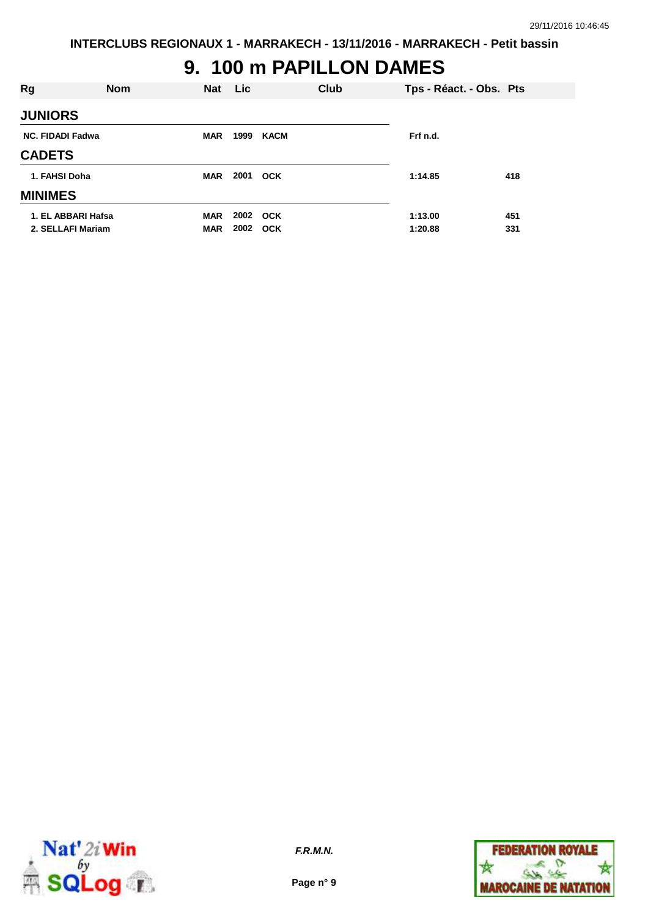#### **9. 100 m PAPILLON DAMES**

| Rg                      | <b>Nom</b> | <b>Nat</b> | <b>Lic</b> |      | Club | Tps - Réact. - Obs. Pts |     |
|-------------------------|------------|------------|------------|------|------|-------------------------|-----|
| <b>JUNIORS</b>          |            |            |            |      |      |                         |     |
| <b>NC. FIDADI Fadwa</b> |            | <b>MAR</b> | 1999       | KACM |      | Frf n.d.                |     |
| <b>CADETS</b>           |            |            |            |      |      |                         |     |
| 1. FAHSI Doha           |            | <b>MAR</b> | 2001 OCK   |      |      | 1:14.85                 | 418 |
| <b>MINIMES</b>          |            |            |            |      |      |                         |     |
| 1. EL ABBARI Hafsa      |            | <b>MAR</b> | 2002 OCK   |      |      | 1:13.00                 | 451 |
| 2. SELLAFI Mariam       |            | <b>MAR</b> | 2002 OCK   |      |      | 1:20.88                 | 331 |



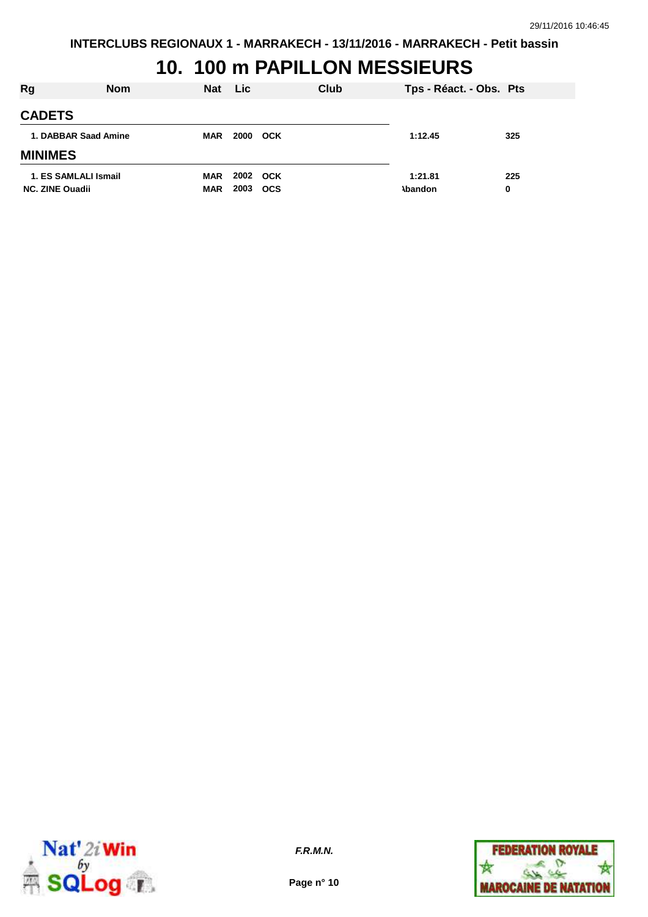#### **10. 100 m PAPILLON MESSIEURS**

| Rg                                             | <b>Nom</b> | <b>Nat</b>        | <b>Lic</b> |                        | Club                      | Tps - Réact. - Obs. Pts |
|------------------------------------------------|------------|-------------------|------------|------------------------|---------------------------|-------------------------|
| <b>CADETS</b>                                  |            |                   |            |                        |                           |                         |
| 1. DABBAR Saad Amine                           |            | MAR               | 2000       | <b>OCK</b>             | 1:12.45                   | 325                     |
| <b>MINIMES</b>                                 |            |                   |            |                        |                           |                         |
| 1. ES SAMLALI Ismail<br><b>NC. ZINE Quadii</b> |            | MAR<br><b>MAR</b> | 2003       | 2002 OCK<br><b>OCS</b> | 1:21.81<br><b>\bandon</b> | 225<br>0                |



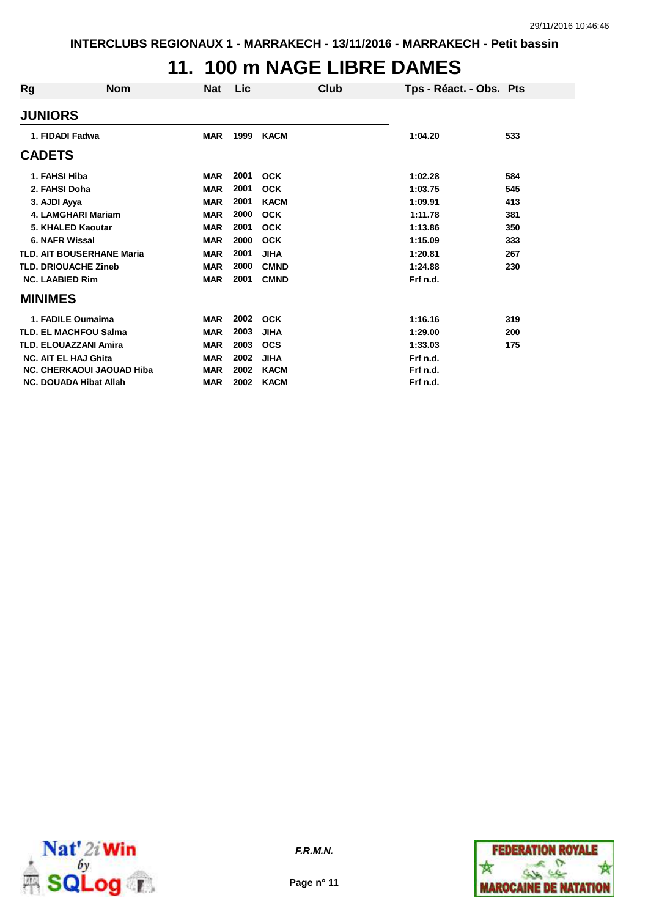### **11. 100 m NAGE LIBRE DAMES**

| Rg                          | <b>Nom</b>                       | Nat        | <b>Lic</b> | Club        | Tps - Réact. - Obs. Pts |     |
|-----------------------------|----------------------------------|------------|------------|-------------|-------------------------|-----|
| <b>JUNIORS</b>              |                                  |            |            |             |                         |     |
| 1. FIDADI Fadwa             |                                  | <b>MAR</b> | 1999       | <b>KACM</b> | 1:04.20                 | 533 |
| <b>CADETS</b>               |                                  |            |            |             |                         |     |
| 1. FAHSI Hiba               |                                  | <b>MAR</b> | 2001       | <b>OCK</b>  | 1:02.28                 | 584 |
| 2. FAHSI Doha               |                                  | <b>MAR</b> | 2001       | <b>OCK</b>  | 1:03.75                 | 545 |
| 3. AJDI Ayya                |                                  | <b>MAR</b> | 2001       | <b>KACM</b> | 1:09.91                 | 413 |
|                             | <b>4. LAMGHARI Mariam</b>        | <b>MAR</b> | 2000       | <b>OCK</b>  | 1:11.78                 | 381 |
|                             | 5. KHALED Kaoutar                | <b>MAR</b> | 2001       | <b>OCK</b>  | 1:13.86                 | 350 |
| 6. NAFR Wissal              |                                  | <b>MAR</b> | 2000       | <b>OCK</b>  | 1:15.09                 | 333 |
|                             | <b>TLD. AIT BOUSERHANE Maria</b> | <b>MAR</b> | 2001       | <b>JIHA</b> | 1:20.81                 | 267 |
| <b>TLD. DRIOUACHE Zineb</b> |                                  | <b>MAR</b> | 2000       | <b>CMND</b> | 1:24.88                 | 230 |
| <b>NC. LAABIED Rim</b>      |                                  | <b>MAR</b> | 2001       | <b>CMND</b> | Frf n.d.                |     |
| <b>MINIMES</b>              |                                  |            |            |             |                         |     |
|                             | 1. FADILE Oumaima                | <b>MAR</b> | 2002       | <b>OCK</b>  | 1:16.16                 | 319 |
|                             | <b>TLD. EL MACHFOU Salma</b>     | <b>MAR</b> | 2003       | <b>JIHA</b> | 1:29.00                 | 200 |
|                             | <b>TLD. ELOUAZZANI Amira</b>     | <b>MAR</b> | 2003       | <b>OCS</b>  | 1:33.03                 | 175 |
| <b>NC. AIT EL HAJ Ghita</b> |                                  | <b>MAR</b> | 2002       | <b>JIHA</b> | Frf n.d.                |     |
|                             | <b>NC. CHERKAOUI JAOUAD Hiba</b> | <b>MAR</b> | 2002       | <b>KACM</b> | Frf n.d.                |     |
|                             | <b>NC. DOUADA Hibat Allah</b>    | <b>MAR</b> | 2002       | <b>KACM</b> | Frf n.d.                |     |



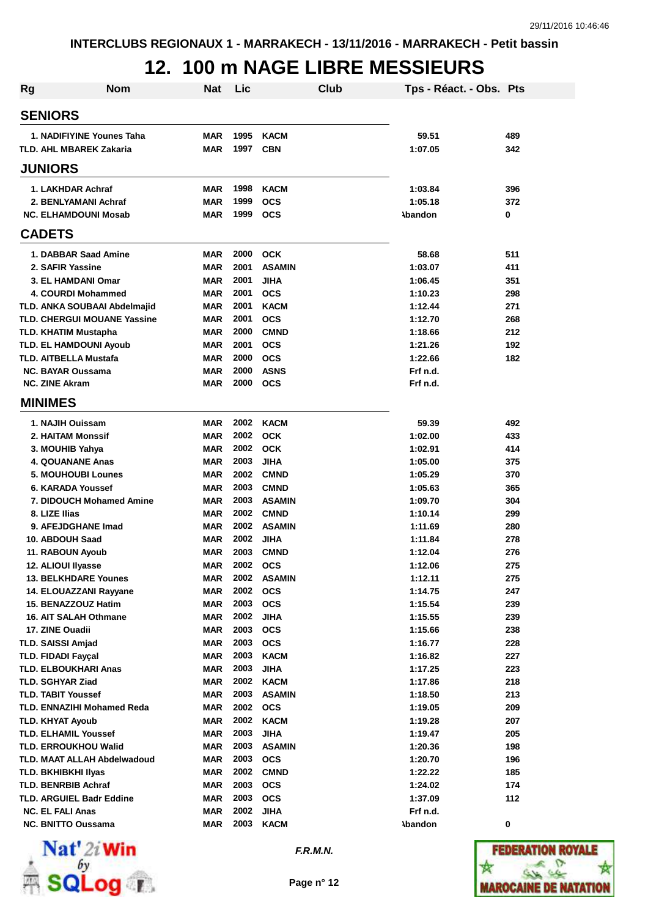### **12. 100 m NAGE LIBRE MESSIEURS**

| Rg | Nom                                                           | <b>Nat</b>               | Lic          | Club                         | Tps - Réact. - Obs. Pts |            |
|----|---------------------------------------------------------------|--------------------------|--------------|------------------------------|-------------------------|------------|
|    | <b>SENIORS</b>                                                |                          |              |                              |                         |            |
|    | 1. NADIFIYINE Younes Taha                                     | <b>MAR</b>               | 1995         | <b>KACM</b>                  | 59.51                   | 489        |
|    | <b>TLD. AHL MBAREK Zakaria</b>                                | <b>MAR</b>               | 1997         | <b>CBN</b>                   | 1:07.05                 | 342        |
|    | <b>JUNIORS</b>                                                |                          |              |                              |                         |            |
|    | 1. LAKHDAR Achraf                                             | <b>MAR</b>               | 1998         | <b>KACM</b>                  | 1:03.84                 | 396        |
|    | 2. BENLYAMANI Achraf                                          | <b>MAR</b>               | 1999         | <b>OCS</b>                   | 1:05.18                 | 372        |
|    | <b>NC. ELHAMDOUNI Mosab</b>                                   | <b>MAR</b>               | 1999         | <b>OCS</b>                   | <b>Abandon</b>          | 0          |
|    | <b>CADETS</b>                                                 |                          |              |                              |                         |            |
|    | 1. DABBAR Saad Amine                                          | <b>MAR</b>               | 2000         | <b>OCK</b>                   | 58.68                   | 511        |
|    | 2. SAFIR Yassine                                              | <b>MAR</b>               | 2001         | <b>ASAMIN</b>                | 1:03.07                 | 411        |
|    | 3. EL HAMDANI Omar                                            | <b>MAR</b>               | 2001         | <b>JIHA</b>                  | 1:06.45                 | 351        |
|    | 4. COURDI Mohammed                                            | <b>MAR</b>               | 2001         | <b>OCS</b>                   | 1:10.23                 | 298        |
|    | TLD. ANKA SOUBAAI Abdelmajid                                  | MAR                      | 2001         | <b>KACM</b>                  | 1:12.44                 | 271        |
|    | TLD. CHERGUI MOUANE Yassine                                   | <b>MAR</b>               | 2001         | <b>OCS</b>                   | 1:12.70                 | 268        |
|    | <b>TLD. KHATIM Mustapha</b>                                   | <b>MAR</b>               | 2000         | <b>CMND</b>                  | 1:18.66                 | 212        |
|    | <b>TLD. EL HAMDOUNI Ayoub</b>                                 | <b>MAR</b>               | 2001         | <b>OCS</b>                   | 1:21.26                 | 192        |
|    | <b>TLD. AITBELLA Mustafa</b>                                  | <b>MAR</b>               | 2000         | <b>OCS</b>                   | 1:22.66                 | 182        |
|    | <b>NC. BAYAR Oussama</b><br><b>NC. ZINE Akram</b>             | <b>MAR</b><br><b>MAR</b> | 2000<br>2000 | <b>ASNS</b>                  | Frf n.d.<br>Frf n.d.    |            |
|    | <b>MINIMES</b>                                                |                          |              | <b>OCS</b>                   |                         |            |
|    |                                                               |                          |              |                              |                         |            |
|    | 1. NAJIH Ouissam                                              | <b>MAR</b>               | 2002         | <b>KACM</b>                  | 59.39                   | 492        |
|    | <b>2. HAITAM Monssif</b>                                      | <b>MAR</b>               | 2002         | <b>OCK</b>                   | 1:02.00                 | 433        |
|    | 3. MOUHIB Yahya                                               | <b>MAR</b>               | 2002         | <b>OCK</b>                   | 1:02.91                 | 414        |
|    | <b>4. QOUANANE Anas</b>                                       | <b>MAR</b>               | 2003         | <b>JIHA</b>                  | 1:05.00                 | 375        |
|    | <b>5. MOUHOUBI Lounes</b>                                     | <b>MAR</b>               | 2002<br>2003 | <b>CMND</b>                  | 1:05.29                 | 370        |
|    | 6. KARADA Youssef<br><b>7. DIDOUCH Mohamed Amine</b>          | <b>MAR</b><br><b>MAR</b> | 2003         | <b>CMND</b><br><b>ASAMIN</b> | 1:05.63<br>1:09.70      | 365<br>304 |
|    | 8. LIZE Ilias                                                 | <b>MAR</b>               | 2002         | <b>CMND</b>                  | 1:10.14                 | 299        |
|    | 9. AFEJDGHANE Imad                                            | <b>MAR</b>               | 2002         | <b>ASAMIN</b>                | 1:11.69                 | 280        |
|    | 10. ABDOUH Saad                                               | <b>MAR</b>               | 2002         | <b>JIHA</b>                  | 1:11.84                 | 278        |
|    | 11. RABOUN Ayoub                                              | <b>MAR</b>               | 2003         | <b>CMND</b>                  | 1:12.04                 | 276        |
|    | 12. ALIOUI Ilyasse                                            | <b>MAR</b>               | 2002         | <b>OCS</b>                   | 1:12.06                 | 275        |
|    | <b>13. BELKHDARE Younes</b>                                   | MAR                      |              | 2002 ASAMIN                  | 1:12.11                 | 275        |
|    | 14. ELOUAZZANI Rayyane                                        | <b>MAR</b>               | 2002         | <b>OCS</b>                   | 1:14.75                 | 247        |
|    | 15. BENAZZOUZ Hatim                                           | <b>MAR</b>               | 2003         | <b>OCS</b>                   | 1:15.54                 | 239        |
|    | 16. AIT SALAH Othmane                                         | <b>MAR</b>               | 2002         | <b>JIHA</b>                  | 1:15.55                 | 239        |
|    | 17. ZINE Ouadii                                               | <b>MAR</b>               | 2003         | <b>OCS</b>                   | 1:15.66                 | 238        |
|    | <b>TLD. SAISSI Amjad</b>                                      | <b>MAR</b>               | 2003         | <b>OCS</b>                   | 1:16.77                 | 228        |
|    | <b>TLD. FIDADI Faycal</b>                                     | <b>MAR</b>               | 2003         | <b>KACM</b>                  | 1:16.82                 | 227        |
|    | <b>TLD. ELBOUKHARI Anas</b>                                   | <b>MAR</b>               | 2003         | <b>JIHA</b>                  | 1:17.25                 | 223        |
|    | <b>TLD. SGHYAR Ziad</b>                                       | <b>MAR</b>               | 2002         | <b>KACM</b>                  | 1:17.86                 | 218        |
|    | <b>TLD. TABIT Youssef</b>                                     | <b>MAR</b>               | 2003         | <b>ASAMIN</b>                | 1:18.50                 | 213        |
|    | TLD. ENNAZIHI Mohamed Reda                                    | <b>MAR</b>               | 2002         | <b>OCS</b>                   | 1:19.05                 | 209        |
|    | <b>TLD. KHYAT Ayoub</b>                                       | <b>MAR</b>               | 2002         | <b>KACM</b>                  | 1:19.28                 | 207        |
|    | <b>TLD. ELHAMIL Youssef</b>                                   | <b>MAR</b>               | 2003         | <b>JIHA</b>                  | 1:19.47                 | 205        |
|    | <b>TLD. ERROUKHOU Walid</b>                                   | <b>MAR</b>               | 2003         | <b>ASAMIN</b>                | 1:20.36                 | 198        |
|    | TLD. MAAT ALLAH Abdelwadoud                                   | <b>MAR</b>               | 2003<br>2002 | <b>OCS</b>                   | 1:20.70                 | 196        |
|    | <b>TLD. BKHIBKHI IIyas</b>                                    | <b>MAR</b>               | 2003         | <b>CMND</b>                  | 1:22.22                 | 185        |
|    | <b>TLD. BENRBIB Achraf</b><br><b>TLD. ARGUIEL Badr Eddine</b> | <b>MAR</b><br><b>MAR</b> | 2003         | <b>OCS</b><br><b>OCS</b>     | 1:24.02<br>1:37.09      | 174<br>112 |
|    | <b>NC. EL FALI Anas</b>                                       | <b>MAR</b>               | 2002         | <b>JIHA</b>                  | Frf n.d.                |            |
|    | <b>NC. BNITTO Oussama</b>                                     | MAR                      | 2003         | <b>KACM</b>                  | <b>Abandon</b>          | 0          |
|    |                                                               |                          |              |                              |                         |            |



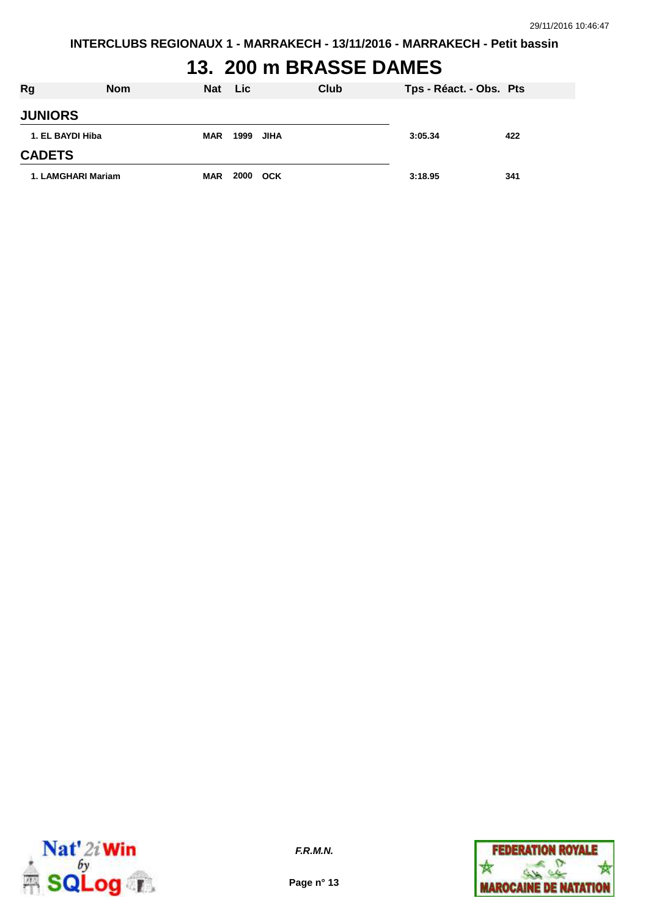# **13. 200 m BRASSE DAMES**

| <b>Rg</b>          | <b>Nom</b> | <b>Nat</b> | <b>Lic</b> |      | Club | Tps - Réact. - Obs. Pts |     |
|--------------------|------------|------------|------------|------|------|-------------------------|-----|
| <b>JUNIORS</b>     |            |            |            |      |      |                         |     |
| 1. EL BAYDI Hiba   |            | <b>MAR</b> | 1999       | JIHA |      | 3:05.34                 | 422 |
| <b>CADETS</b>      |            |            |            |      |      |                         |     |
| 1. LAMGHARI Mariam |            | <b>MAR</b> | 2000       | OCK  |      | 3:18.95                 | 341 |



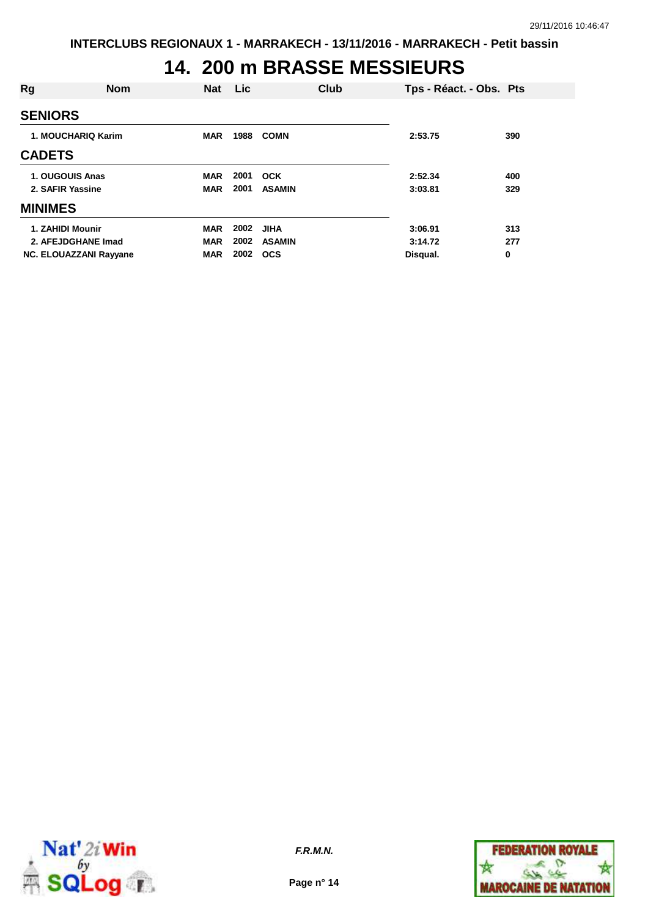### **14. 200 m BRASSE MESSIEURS**

| <b>Rg</b>                     | <b>Nom</b> | <b>Nat</b> | Lic  |               | Club | Tps - Réact. - Obs. Pts |     |
|-------------------------------|------------|------------|------|---------------|------|-------------------------|-----|
| <b>SENIORS</b>                |            |            |      |               |      |                         |     |
| 1. MOUCHARIQ Karim            |            | <b>MAR</b> | 1988 | <b>COMN</b>   |      | 2:53.75                 | 390 |
| <b>CADETS</b>                 |            |            |      |               |      |                         |     |
| 1. OUGOUIS Anas               |            | <b>MAR</b> | 2001 | <b>OCK</b>    |      | 2:52.34                 | 400 |
| 2. SAFIR Yassine              |            | <b>MAR</b> | 2001 | <b>ASAMIN</b> |      | 3:03.81                 | 329 |
| <b>MINIMES</b>                |            |            |      |               |      |                         |     |
| 1. ZAHIDI Mounir              |            | <b>MAR</b> | 2002 | <b>JIHA</b>   |      | 3:06.91                 | 313 |
| 2. AFEJDGHANE Imad            |            | <b>MAR</b> | 2002 | <b>ASAMIN</b> |      | 3:14.72                 | 277 |
| <b>NC. ELOUAZZANI Rayyane</b> |            | <b>MAR</b> | 2002 | <b>OCS</b>    |      | Disqual.                | 0   |



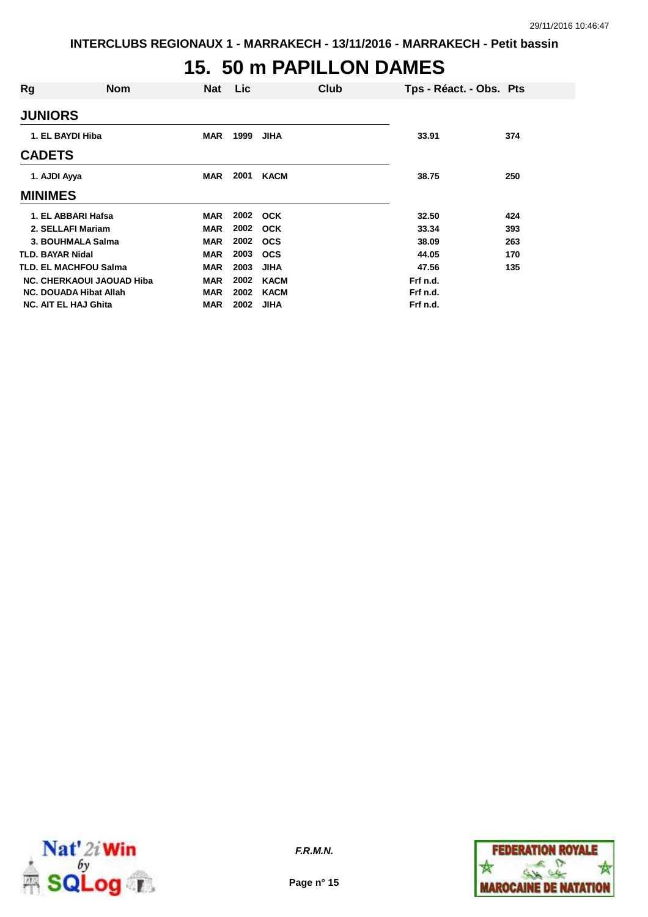#### **15. 50 m PAPILLON DAMES**

| Rg                            | <b>Nom</b>                | Nat        | Lic  | Club        | Tps - Réact. - Obs. Pts |     |
|-------------------------------|---------------------------|------------|------|-------------|-------------------------|-----|
| <b>JUNIORS</b>                |                           |            |      |             |                         |     |
| 1. EL BAYDI Hiba              |                           | <b>MAR</b> | 1999 | <b>JIHA</b> | 33.91                   | 374 |
| <b>CADETS</b>                 |                           |            |      |             |                         |     |
| 1. AJDI Ayya                  |                           | <b>MAR</b> | 2001 | <b>KACM</b> | 38.75                   | 250 |
| <b>MINIMES</b>                |                           |            |      |             |                         |     |
| 1. EL ABBARI Hafsa            |                           | <b>MAR</b> |      | 2002 OCK    | 32.50                   | 424 |
| 2. SELLAFI Mariam             |                           | <b>MAR</b> | 2002 | <b>OCK</b>  | 33.34                   | 393 |
| 3. BOUHMALA Salma             |                           | <b>MAR</b> | 2002 | <b>OCS</b>  | 38.09                   | 263 |
| TLD. BAYAR Nidal              |                           | <b>MAR</b> | 2003 | <b>OCS</b>  | 44.05                   | 170 |
| <b>TLD. EL MACHFOU Salma</b>  |                           | <b>MAR</b> | 2003 | <b>JIHA</b> | 47.56                   | 135 |
|                               | NC. CHERKAOUI JAOUAD Hiba | <b>MAR</b> | 2002 | <b>KACM</b> | Frf n.d.                |     |
| <b>NC. DOUADA Hibat Allah</b> |                           | <b>MAR</b> | 2002 | KACM        | Frf n.d.                |     |
| <b>NC. AIT EL HAJ Ghita</b>   |                           | <b>MAR</b> | 2002 | <b>JIHA</b> | Frf n.d.                |     |



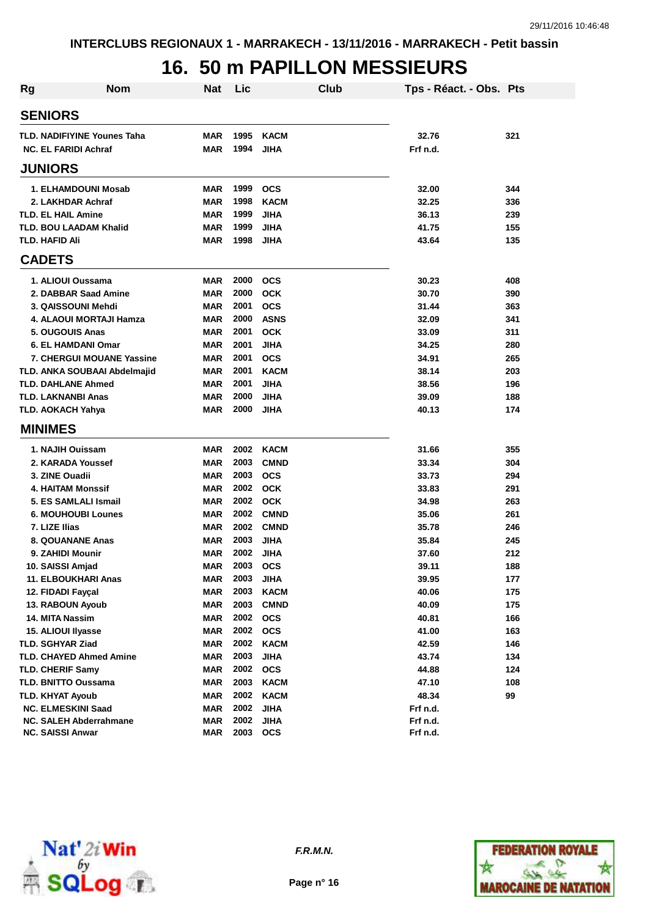# **16. 50 m PAPILLON MESSIEURS**

| Rg | <b>Nom</b>                         | <b>Nat</b> | Lic  | Club        | Tps - Réact. - Obs. Pts |     |
|----|------------------------------------|------------|------|-------------|-------------------------|-----|
|    | <b>SENIORS</b>                     |            |      |             |                         |     |
|    | <b>TLD. NADIFIYINE Younes Taha</b> | <b>MAR</b> | 1995 | <b>KACM</b> | 32.76                   | 321 |
|    | <b>NC. EL FARIDI Achraf</b>        | <b>MAR</b> | 1994 | <b>JIHA</b> | Frf n.d.                |     |
|    | <b>JUNIORS</b>                     |            |      |             |                         |     |
|    | 1. ELHAMDOUNI Mosab                | <b>MAR</b> | 1999 | <b>OCS</b>  | 32.00                   | 344 |
|    | 2. LAKHDAR Achraf                  | <b>MAR</b> | 1998 | <b>KACM</b> | 32.25                   | 336 |
|    | <b>TLD. EL HAIL Amine</b>          | <b>MAR</b> | 1999 | <b>JIHA</b> | 36.13                   | 239 |
|    | <b>TLD. BOU LAADAM Khalid</b>      | <b>MAR</b> | 1999 | <b>JIHA</b> | 41.75                   | 155 |
|    | <b>TLD. HAFID Ali</b>              | <b>MAR</b> | 1998 | <b>JIHA</b> | 43.64                   | 135 |
|    | <b>CADETS</b>                      |            |      |             |                         |     |
|    | 1. ALIOUI Oussama                  | <b>MAR</b> | 2000 | <b>OCS</b>  | 30.23                   | 408 |
|    | 2. DABBAR Saad Amine               | <b>MAR</b> | 2000 | <b>OCK</b>  | 30.70                   | 390 |
|    | 3. QAISSOUNI Mehdi                 | <b>MAR</b> | 2001 | <b>OCS</b>  | 31.44                   | 363 |
|    | 4. ALAOUI MORTAJI Hamza            | <b>MAR</b> | 2000 | <b>ASNS</b> | 32.09                   | 341 |
|    | 5. OUGOUIS Anas                    | <b>MAR</b> | 2001 | <b>OCK</b>  | 33.09                   | 311 |
|    | 6. EL HAMDANI Omar                 | MAR        | 2001 | <b>JIHA</b> | 34.25                   | 280 |
|    | 7. CHERGUI MOUANE Yassine          | MAR        | 2001 | <b>OCS</b>  | 34.91                   | 265 |
|    | TLD. ANKA SOUBAAI Abdelmajid       | MAR        | 2001 | <b>KACM</b> | 38.14                   | 203 |
|    | <b>TLD. DAHLANE Ahmed</b>          | <b>MAR</b> | 2001 | <b>JIHA</b> | 38.56                   | 196 |
|    | <b>TLD. LAKNANBI Anas</b>          | <b>MAR</b> | 2000 | JIHA        | 39.09                   | 188 |
|    | <b>TLD. AOKACH Yahya</b>           | MAR        | 2000 | <b>JIHA</b> | 40.13                   | 174 |
|    | <b>MINIMES</b>                     |            |      |             |                         |     |
|    | 1. NAJIH Ouissam                   | MAR        | 2002 | <b>KACM</b> | 31.66                   | 355 |
|    | 2. KARADA Youssef                  | <b>MAR</b> | 2003 | <b>CMND</b> | 33.34                   | 304 |
|    | 3. ZINE Ouadii                     | <b>MAR</b> | 2003 | <b>OCS</b>  | 33.73                   | 294 |
|    | 4. HAITAM Monssif                  | <b>MAR</b> | 2002 | <b>OCK</b>  | 33.83                   | 291 |
|    | 5. ES SAMLALI Ismail               | <b>MAR</b> | 2002 | <b>OCK</b>  | 34.98                   | 263 |
|    | <b>6. MOUHOUBI Lounes</b>          | <b>MAR</b> | 2002 | <b>CMND</b> | 35.06                   | 261 |
|    | 7. LIZE Ilias                      | <b>MAR</b> | 2002 | <b>CMND</b> | 35.78                   | 246 |
|    | <b>8. QOUANANE Anas</b>            | MAR        | 2003 | <b>JIHA</b> | 35.84                   | 245 |
|    | 9. ZAHIDI Mounir                   | <b>MAR</b> | 2002 | <b>JIHA</b> | 37.60                   | 212 |
|    | 10. SAISSI Amjad                   | <b>MAR</b> | 2003 | <b>OCS</b>  | 39.11                   | 188 |
|    | 11. ELBOUKHARI Anas                | <b>MAR</b> | 2003 | <b>JIHA</b> | 39.95                   | 177 |
|    | 12. FIDADI Fayçal                  | <b>MAR</b> | 2003 | <b>KACM</b> | 40.06                   | 175 |
|    | 13. RABOUN Ayoub                   | <b>MAR</b> | 2003 | <b>CMND</b> | 40.09                   | 175 |
|    | 14. MITA Nassim                    | <b>MAR</b> | 2002 | <b>OCS</b>  | 40.81                   | 166 |
|    | 15. ALIOUI IIyasse                 | <b>MAR</b> | 2002 | <b>OCS</b>  | 41.00                   | 163 |
|    | <b>TLD. SGHYAR Ziad</b>            | <b>MAR</b> | 2002 | <b>KACM</b> | 42.59                   | 146 |
|    | <b>TLD. CHAYED Ahmed Amine</b>     | <b>MAR</b> | 2003 | <b>JIHA</b> | 43.74                   | 134 |
|    | <b>TLD. CHERIF Samy</b>            | <b>MAR</b> | 2002 | <b>OCS</b>  | 44.88                   | 124 |
|    | <b>TLD. BNITTO Oussama</b>         | <b>MAR</b> | 2003 | <b>KACM</b> | 47.10                   | 108 |
|    | <b>TLD. KHYAT Ayoub</b>            | <b>MAR</b> | 2002 | <b>KACM</b> | 48.34                   | 99  |
|    | <b>NC. ELMESKINI Saad</b>          | <b>MAR</b> | 2002 | <b>JIHA</b> | Frf n.d.                |     |
|    | <b>NC. SALEH Abderrahmane</b>      | <b>MAR</b> | 2002 | <b>JIHA</b> | Frf n.d.                |     |
|    | <b>NC. SAISSI Anwar</b>            | <b>MAR</b> | 2003 | <b>OCS</b>  | Frf n.d.                |     |



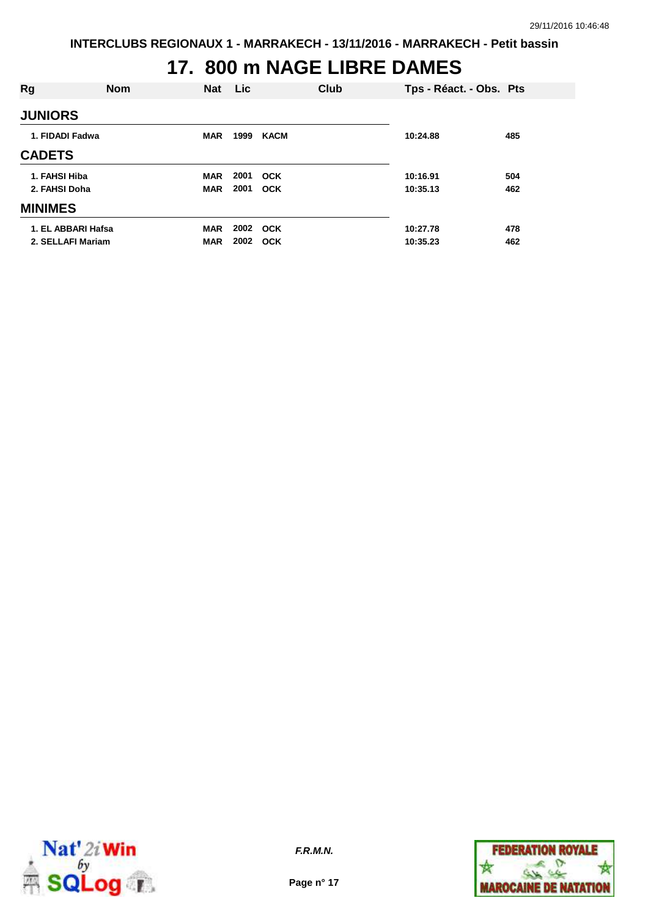## **17. 800 m NAGE LIBRE DAMES**

| Rg                 | <b>Nom</b> | <b>Nat</b> | <b>Lic</b> |             | Club | Tps - Réact. - Obs. Pts |     |
|--------------------|------------|------------|------------|-------------|------|-------------------------|-----|
| <b>JUNIORS</b>     |            |            |            |             |      |                         |     |
| 1. FIDADI Fadwa    |            | <b>MAR</b> | 1999       | <b>KACM</b> |      | 10:24.88                | 485 |
| <b>CADETS</b>      |            |            |            |             |      |                         |     |
| 1. FAHSI Hiba      |            | <b>MAR</b> | 2001       | <b>OCK</b>  |      | 10:16.91                | 504 |
| 2. FAHSI Doha      |            | <b>MAR</b> | 2001       | <b>OCK</b>  |      | 10:35.13                | 462 |
| <b>MINIMES</b>     |            |            |            |             |      |                         |     |
| 1. EL ABBARI Hafsa |            | <b>MAR</b> | 2002 OCK   |             |      | 10:27.78                | 478 |
| 2. SELLAFI Mariam  |            | <b>MAR</b> | 2002       | <b>OCK</b>  |      | 10:35.23                | 462 |



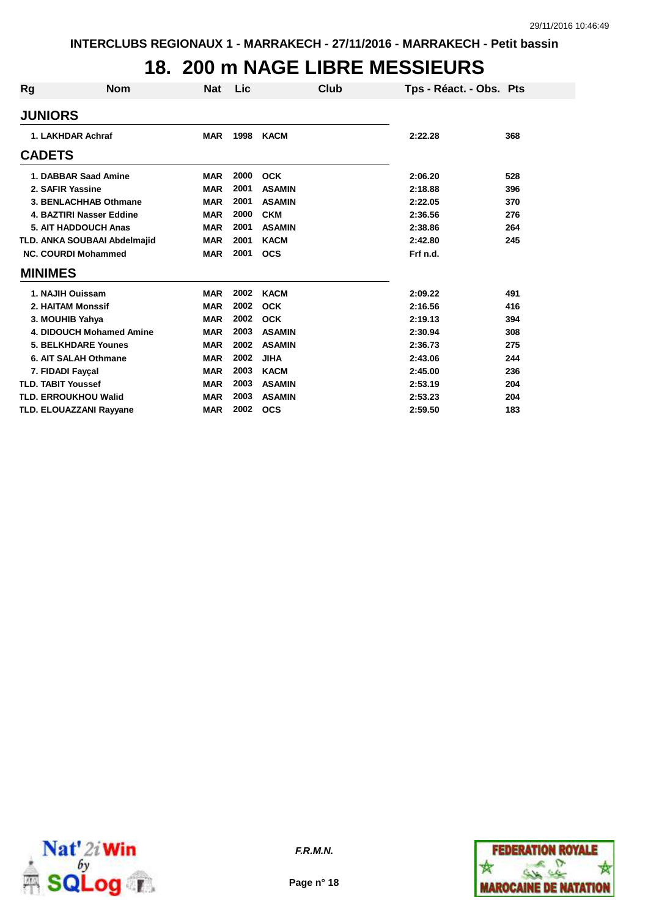## **18. 200 m NAGE LIBRE MESSIEURS**

| Rg | <b>Nom</b>                          | Nat        | Lic  | Club          | Tps - Réact. - Obs. Pts |     |
|----|-------------------------------------|------------|------|---------------|-------------------------|-----|
|    | <b>JUNIORS</b>                      |            |      |               |                         |     |
|    | 1. LAKHDAR Achraf                   | <b>MAR</b> | 1998 | KACM          | 2:22.28                 | 368 |
|    | <b>CADETS</b>                       |            |      |               |                         |     |
|    | 1. DABBAR Saad Amine                | <b>MAR</b> | 2000 | <b>OCK</b>    | 2:06.20                 | 528 |
|    | 2. SAFIR Yassine                    | <b>MAR</b> | 2001 | <b>ASAMIN</b> | 2:18.88                 | 396 |
|    | 3. BENLACHHAB Othmane               | <b>MAR</b> | 2001 | <b>ASAMIN</b> | 2:22.05                 | 370 |
|    | 4. BAZTIRI Nasser Eddine            | <b>MAR</b> | 2000 | <b>CKM</b>    | 2:36.56                 | 276 |
|    | 5. AIT HADDOUCH Anas                | <b>MAR</b> | 2001 | <b>ASAMIN</b> | 2:38.86                 | 264 |
|    | <b>TLD. ANKA SOUBAAI Abdelmajid</b> | <b>MAR</b> | 2001 | <b>KACM</b>   | 2:42.80                 | 245 |
|    | <b>NC. COURDI Mohammed</b>          | <b>MAR</b> | 2001 | <b>OCS</b>    | Frf n.d.                |     |
|    | <b>MINIMES</b>                      |            |      |               |                         |     |
|    | 1. NAJIH Ouissam                    | <b>MAR</b> | 2002 | <b>KACM</b>   | 2:09.22                 | 491 |
|    | 2. HAITAM Monssif                   | <b>MAR</b> | 2002 | <b>OCK</b>    | 2:16.56                 | 416 |
|    | 3. MOUHIB Yahya                     | <b>MAR</b> | 2002 | <b>OCK</b>    | 2:19.13                 | 394 |
|    | 4. DIDOUCH Mohamed Amine            | <b>MAR</b> | 2003 | <b>ASAMIN</b> | 2:30.94                 | 308 |
|    | <b>5. BELKHDARE Younes</b>          | <b>MAR</b> | 2002 | <b>ASAMIN</b> | 2:36.73                 | 275 |
|    | 6. AIT SALAH Othmane                | <b>MAR</b> | 2002 | <b>JIHA</b>   | 2:43.06                 | 244 |
|    | 7. FIDADI Fayçal                    | <b>MAR</b> | 2003 | <b>KACM</b>   | 2:45.00                 | 236 |
|    | <b>TLD. TABIT Youssef</b>           | <b>MAR</b> | 2003 | <b>ASAMIN</b> | 2:53.19                 | 204 |
|    | <b>TLD. ERROUKHOU Walid</b>         | <b>MAR</b> | 2003 | <b>ASAMIN</b> | 2:53.23                 | 204 |
|    | <b>TLD. ELOUAZZANI Rayyane</b>      | <b>MAR</b> | 2002 | <b>OCS</b>    | 2:59.50                 | 183 |



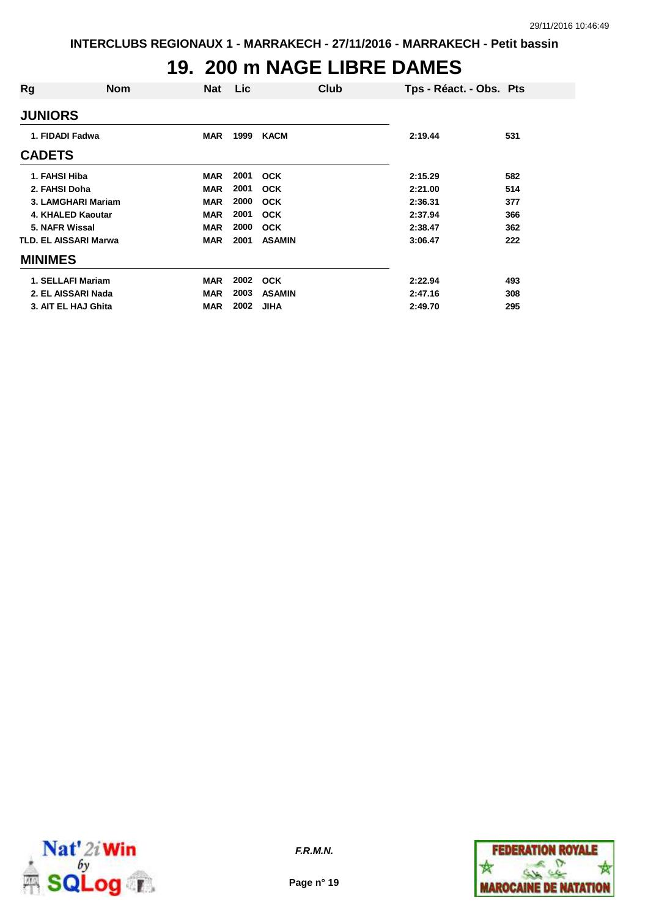### **19. 200 m NAGE LIBRE DAMES**

| Rg                           | <b>Nom</b> | <b>Nat</b> | Lic  | Club          | Tps - Réact. - Obs. Pts |     |
|------------------------------|------------|------------|------|---------------|-------------------------|-----|
| <b>JUNIORS</b>               |            |            |      |               |                         |     |
| 1. FIDADI Fadwa              |            | <b>MAR</b> | 1999 | <b>KACM</b>   | 2:19.44                 | 531 |
| <b>CADETS</b>                |            |            |      |               |                         |     |
| 1. FAHSI Hiba                |            | <b>MAR</b> | 2001 | <b>OCK</b>    | 2:15.29                 | 582 |
| 2. FAHSI Doha                |            | <b>MAR</b> | 2001 | <b>OCK</b>    | 2:21.00                 | 514 |
| 3. LAMGHARI Mariam           |            | <b>MAR</b> | 2000 | <b>OCK</b>    | 2:36.31                 | 377 |
| 4. KHALED Kaoutar            |            | <b>MAR</b> | 2001 | <b>OCK</b>    | 2:37.94                 | 366 |
| 5. NAFR Wissal               |            | <b>MAR</b> | 2000 | <b>OCK</b>    | 2:38.47                 | 362 |
| <b>TLD. EL AISSARI Marwa</b> |            | <b>MAR</b> | 2001 | <b>ASAMIN</b> | 3:06.47                 | 222 |
| <b>MINIMES</b>               |            |            |      |               |                         |     |
| 1. SELLAFI Mariam            |            | <b>MAR</b> | 2002 | <b>OCK</b>    | 2:22.94                 | 493 |
| 2. EL AISSARI Nada           |            | <b>MAR</b> | 2003 | <b>ASAMIN</b> | 2:47.16                 | 308 |
| 3. AIT EL HAJ Ghita          |            | <b>MAR</b> | 2002 | <b>JIHA</b>   | 2:49.70                 | 295 |



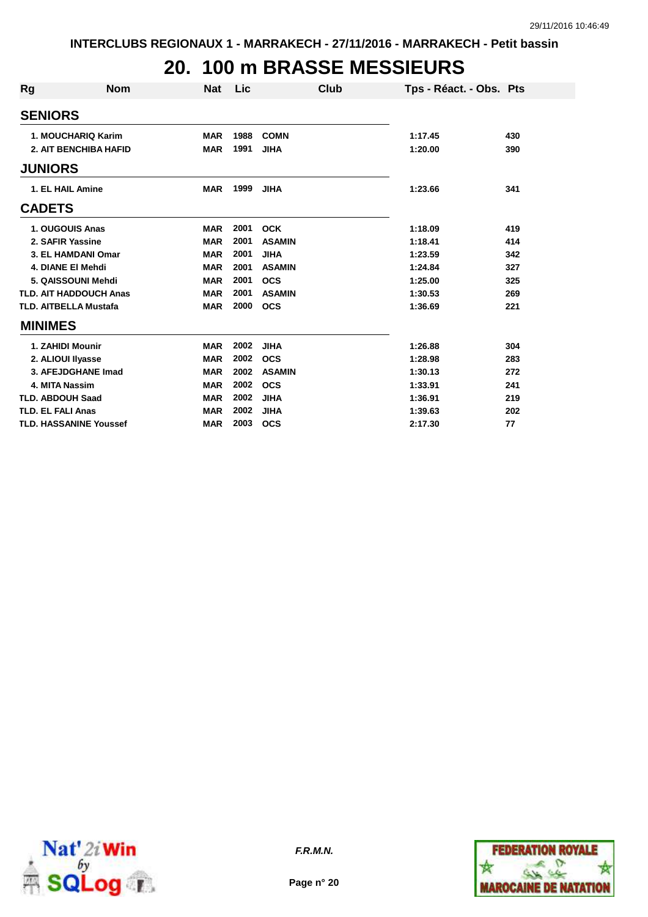# **20. 100 m BRASSE MESSIEURS**

| <b>Rg</b>                    | <b>Nom</b>                    | <b>Nat</b> | Lic  | Club          | Tps - Réact. - Obs. Pts |     |
|------------------------------|-------------------------------|------------|------|---------------|-------------------------|-----|
| <b>SENIORS</b>               |                               |            |      |               |                         |     |
|                              | 1. MOUCHARIQ Karim            | <b>MAR</b> | 1988 | <b>COMN</b>   | 1:17.45                 | 430 |
|                              | <b>2. AIT BENCHIBA HAFID</b>  | <b>MAR</b> | 1991 | <b>JIHA</b>   | 1:20.00                 | 390 |
| <b>JUNIORS</b>               |                               |            |      |               |                         |     |
| 1. EL HAIL Amine             |                               | <b>MAR</b> | 1999 | <b>JIHA</b>   | 1:23.66                 | 341 |
| <b>CADETS</b>                |                               |            |      |               |                         |     |
| 1. OUGOUIS Anas              |                               | <b>MAR</b> | 2001 | <b>OCK</b>    | 1:18.09                 | 419 |
| 2. SAFIR Yassine             |                               | <b>MAR</b> | 2001 | <b>ASAMIN</b> | 1:18.41                 | 414 |
|                              | 3. EL HAMDANI Omar            | <b>MAR</b> | 2001 | <b>JIHA</b>   | 1:23.59                 | 342 |
| 4. DIANE EI Mehdi            |                               | <b>MAR</b> | 2001 | <b>ASAMIN</b> | 1:24.84                 | 327 |
|                              | 5. QAISSOUNI Mehdi            | <b>MAR</b> | 2001 | <b>OCS</b>    | 1:25.00                 | 325 |
|                              | <b>TLD. AIT HADDOUCH Anas</b> | <b>MAR</b> | 2001 | <b>ASAMIN</b> | 1:30.53                 | 269 |
| <b>TLD. AITBELLA Mustafa</b> |                               | <b>MAR</b> | 2000 | <b>OCS</b>    | 1:36.69                 | 221 |
| <b>MINIMES</b>               |                               |            |      |               |                         |     |
| 1. ZAHIDI Mounir             |                               | <b>MAR</b> | 2002 | <b>JIHA</b>   | 1:26.88                 | 304 |
| 2. ALIOUI Ilyasse            |                               | <b>MAR</b> | 2002 | <b>OCS</b>    | 1:28.98                 | 283 |
|                              | 3. AFEJDGHANE Imad            | <b>MAR</b> | 2002 | <b>ASAMIN</b> | 1:30.13                 | 272 |
| 4. MITA Nassim               |                               | <b>MAR</b> | 2002 | <b>OCS</b>    | 1:33.91                 | 241 |
| <b>TLD. ABDOUH Saad</b>      |                               | <b>MAR</b> | 2002 | <b>JIHA</b>   | 1:36.91                 | 219 |
| <b>TLD. EL FALI Anas</b>     |                               | <b>MAR</b> | 2002 | <b>JIHA</b>   | 1:39.63                 | 202 |
|                              | <b>TLD. HASSANINE Youssef</b> | <b>MAR</b> | 2003 | <b>OCS</b>    | 2:17.30                 | 77  |



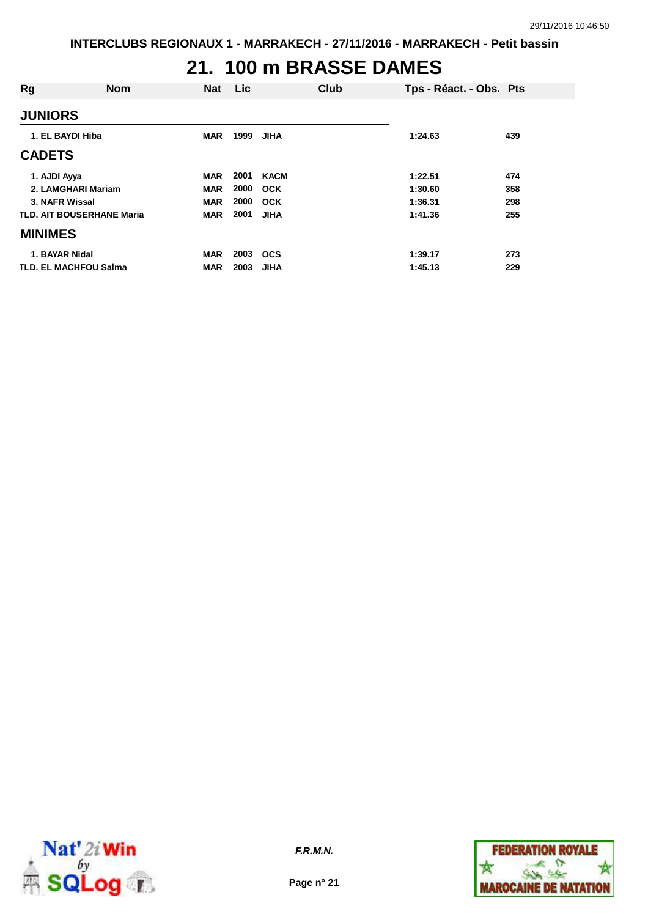# **21. 100 m BRASSE DAMES**

| Rg             | <b>Nom</b>                       | <b>Nat</b> | Lic  |             | Club | Tps - Réact. - Obs. Pts |     |
|----------------|----------------------------------|------------|------|-------------|------|-------------------------|-----|
| <b>JUNIORS</b> |                                  |            |      |             |      |                         |     |
|                | 1. EL BAYDI Hiba                 | <b>MAR</b> | 1999 | <b>JIHA</b> |      | 1:24.63                 | 439 |
| <b>CADETS</b>  |                                  |            |      |             |      |                         |     |
| 1. AJDI Ayya   |                                  | <b>MAR</b> | 2001 | <b>KACM</b> |      | 1:22.51                 | 474 |
|                | 2. LAMGHARI Mariam               | <b>MAR</b> | 2000 | <b>OCK</b>  |      | 1:30.60                 | 358 |
| 3. NAFR Wissal |                                  | <b>MAR</b> | 2000 | OCK         |      | 1:36.31                 | 298 |
|                | <b>TLD. AIT BOUSERHANE Maria</b> | <b>MAR</b> | 2001 | <b>JIHA</b> |      | 1:41.36                 | 255 |
| <b>MINIMES</b> |                                  |            |      |             |      |                         |     |
| 1. BAYAR Nidal |                                  | <b>MAR</b> | 2003 | <b>OCS</b>  |      | 1:39.17                 | 273 |
|                | <b>TLD. EL MACHFOU Salma</b>     | <b>MAR</b> | 2003 | <b>JIHA</b> |      | 1:45.13                 | 229 |



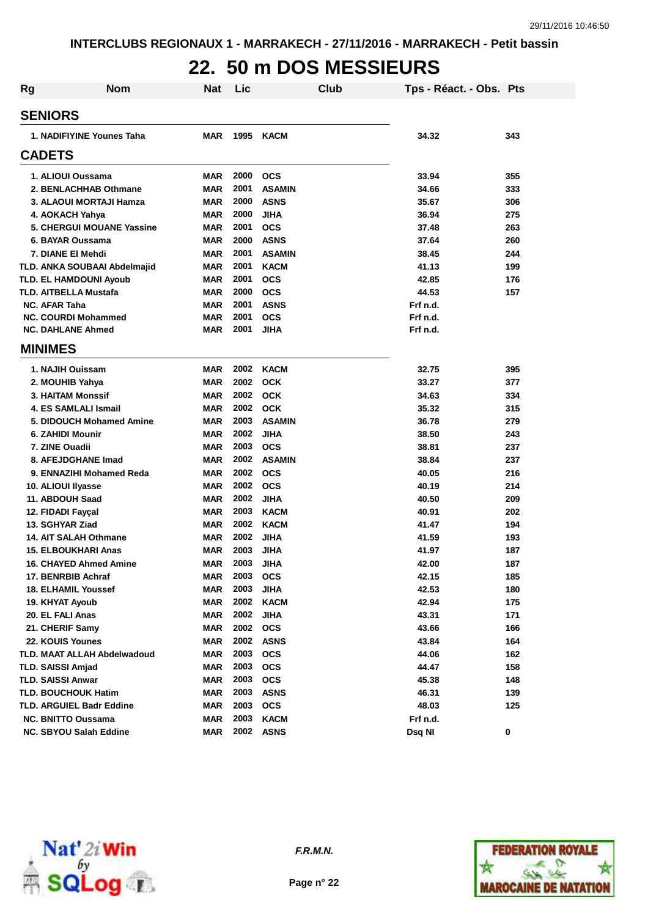## **22. 50 m DOS MESSIEURS**

| <b>Rg</b> | <b>Nom</b>                         | <b>Nat</b> | Lic  | Club          | Tps - Réact. - Obs. Pts |     |
|-----------|------------------------------------|------------|------|---------------|-------------------------|-----|
|           | <b>SENIORS</b>                     |            |      |               |                         |     |
|           | 1. NADIFIYINE Younes Taha          | <b>MAR</b> | 1995 | <b>KACM</b>   | 34.32                   | 343 |
|           | <b>CADETS</b>                      |            |      |               |                         |     |
|           | 1. ALIOUI Oussama                  | <b>MAR</b> | 2000 | <b>OCS</b>    | 33.94                   | 355 |
|           | 2. BENLACHHAB Othmane              | <b>MAR</b> | 2001 | <b>ASAMIN</b> | 34.66                   | 333 |
|           | 3. ALAOUI MORTAJI Hamza            | <b>MAR</b> | 2000 | <b>ASNS</b>   | 35.67                   | 306 |
|           | 4. AOKACH Yahya                    | <b>MAR</b> | 2000 | <b>JIHA</b>   | 36.94                   | 275 |
|           | 5. CHERGUI MOUANE Yassine          | <b>MAR</b> | 2001 | <b>OCS</b>    | 37.48                   | 263 |
|           | 6. BAYAR Oussama                   | <b>MAR</b> | 2000 | <b>ASNS</b>   | 37.64                   | 260 |
|           | 7. DIANE EI Mehdi                  | <b>MAR</b> | 2001 | <b>ASAMIN</b> | 38.45                   | 244 |
|           | TLD. ANKA SOUBAAI Abdelmajid       | <b>MAR</b> | 2001 | <b>KACM</b>   | 41.13                   | 199 |
|           | <b>TLD. EL HAMDOUNI Ayoub</b>      | <b>MAR</b> | 2001 | <b>OCS</b>    | 42.85                   | 176 |
|           | <b>TLD. AITBELLA Mustafa</b>       | <b>MAR</b> | 2000 | <b>OCS</b>    | 44.53                   | 157 |
|           | <b>NC. AFAR Taha</b>               | <b>MAR</b> | 2001 | <b>ASNS</b>   | Frf n.d.                |     |
|           | <b>NC. COURDI Mohammed</b>         | <b>MAR</b> | 2001 | <b>OCS</b>    | Frf n.d.                |     |
|           | <b>NC. DAHLANE Ahmed</b>           | <b>MAR</b> | 2001 | <b>JIHA</b>   | Frf n.d.                |     |
|           | <b>MINIMES</b>                     |            |      |               |                         |     |
|           | 1. NAJIH Ouissam                   | <b>MAR</b> | 2002 | <b>KACM</b>   | 32.75                   | 395 |
|           | 2. MOUHIB Yahya                    | <b>MAR</b> | 2002 | <b>OCK</b>    | 33.27                   | 377 |
|           | <b>3. HAITAM Monssif</b>           | <b>MAR</b> | 2002 | <b>OCK</b>    | 34.63                   | 334 |
|           | 4. ES SAMLALI Ismail               | <b>MAR</b> | 2002 | <b>OCK</b>    | 35.32                   | 315 |
|           | 5. DIDOUCH Mohamed Amine           | <b>MAR</b> | 2003 | <b>ASAMIN</b> | 36.78                   | 279 |
|           | 6. ZAHIDI Mounir                   | <b>MAR</b> | 2002 | <b>JIHA</b>   | 38.50                   | 243 |
|           | 7. ZINE Ouadii                     | <b>MAR</b> | 2003 | <b>OCS</b>    | 38.81                   | 237 |
|           | 8. AFEJDGHANE Imad                 | <b>MAR</b> | 2002 | <b>ASAMIN</b> | 38.84                   | 237 |
|           | 9. ENNAZIHI Mohamed Reda           | <b>MAR</b> | 2002 | <b>OCS</b>    | 40.05                   | 216 |
|           | 10. ALIOUI Ilyasse                 | <b>MAR</b> | 2002 | <b>OCS</b>    | 40.19                   | 214 |
|           | 11. ABDOUH Saad                    | <b>MAR</b> | 2002 | <b>JIHA</b>   | 40.50                   | 209 |
|           | 12. FIDADI Faycal                  | <b>MAR</b> | 2003 | <b>KACM</b>   | 40.91                   | 202 |
|           | 13. SGHYAR Ziad                    | <b>MAR</b> | 2002 | <b>KACM</b>   | 41.47                   | 194 |
|           | <b>14. AIT SALAH Othmane</b>       | <b>MAR</b> | 2002 | <b>JIHA</b>   | 41.59                   | 193 |
|           | <b>15. ELBOUKHARI Anas</b>         | <b>MAR</b> | 2003 | <b>JIHA</b>   | 41.97                   | 187 |
|           | <b>16. CHAYED Ahmed Amine</b>      | <b>MAR</b> | 2003 | <b>JIHA</b>   | 42.00                   | 187 |
|           | 17. BENRBIB Achraf                 | <b>MAR</b> | 2003 | <b>OCS</b>    | 42.15                   | 185 |
|           | <b>18. ELHAMIL Youssef</b>         | <b>MAR</b> | 2003 | <b>JIHA</b>   | 42.53                   | 180 |
|           | 19. KHYAT Ayoub                    | <b>MAR</b> | 2002 | <b>KACM</b>   | 42.94                   | 175 |
|           | 20. EL FALI Anas                   | <b>MAR</b> | 2002 | <b>JIHA</b>   | 43.31                   | 171 |
|           | 21. CHERIF Samy                    | <b>MAR</b> | 2002 | <b>OCS</b>    | 43.66                   | 166 |
|           | 22. KOUIS Younes                   | <b>MAR</b> | 2002 | <b>ASNS</b>   | 43.84                   | 164 |
|           | <b>TLD. MAAT ALLAH Abdelwadoud</b> | <b>MAR</b> | 2003 | <b>OCS</b>    | 44.06                   | 162 |
|           | <b>TLD. SAISSI Amjad</b>           | <b>MAR</b> | 2003 | <b>OCS</b>    | 44.47                   | 158 |
|           | <b>TLD. SAISSI Anwar</b>           | <b>MAR</b> | 2003 | <b>OCS</b>    | 45.38                   | 148 |
|           | <b>TLD. BOUCHOUK Hatim</b>         | <b>MAR</b> | 2003 | <b>ASNS</b>   | 46.31                   | 139 |
|           | <b>TLD. ARGUIEL Badr Eddine</b>    | <b>MAR</b> | 2003 | <b>OCS</b>    | 48.03                   | 125 |
|           | <b>NC. BNITTO Oussama</b>          | <b>MAR</b> | 2003 | <b>KACM</b>   | Frf n.d.                |     |
|           | NC. SBYOU Salah Eddine             | <b>MAR</b> |      | 2002 ASNS     | Dsq NI                  | 0   |



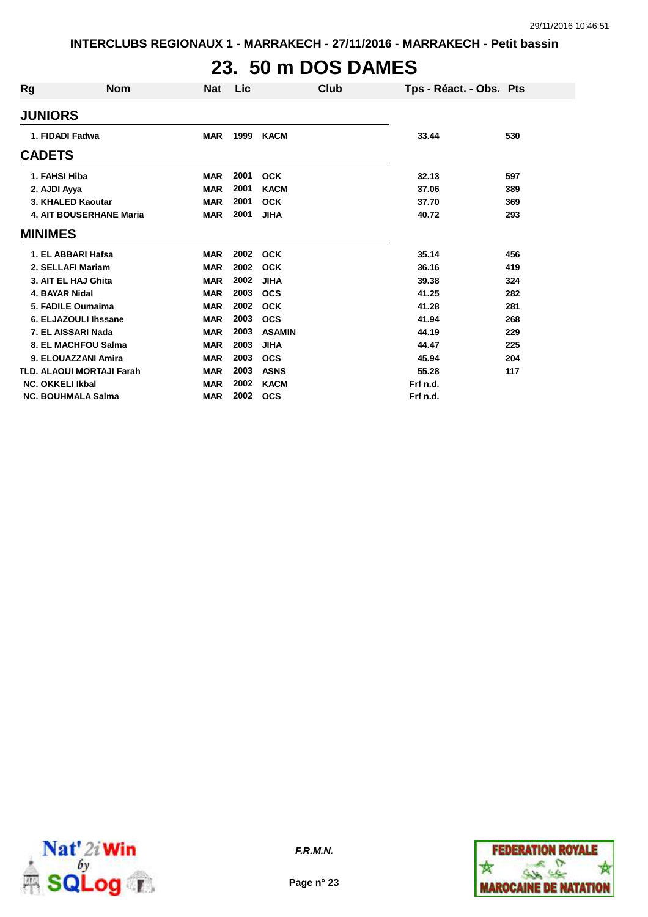# **23. 50 m DOS DAMES**

| <b>Rg</b>               | <b>Nom</b>                       | Nat        | Lic  | Club          | Tps - Réact. - Obs. Pts |     |
|-------------------------|----------------------------------|------------|------|---------------|-------------------------|-----|
| <b>JUNIORS</b>          |                                  |            |      |               |                         |     |
| 1. FIDADI Fadwa         |                                  | <b>MAR</b> | 1999 | <b>KACM</b>   | 33.44                   | 530 |
| <b>CADETS</b>           |                                  |            |      |               |                         |     |
| 1. FAHSI Hiba           |                                  | <b>MAR</b> | 2001 | <b>OCK</b>    | 32.13                   | 597 |
| 2. AJDI Ayya            |                                  | <b>MAR</b> | 2001 | <b>KACM</b>   | 37.06                   | 389 |
|                         | 3. KHALED Kaoutar                | <b>MAR</b> | 2001 | <b>OCK</b>    | 37.70                   | 369 |
|                         | <b>4. AIT BOUSERHANE Maria</b>   | <b>MAR</b> | 2001 | <b>JIHA</b>   | 40.72                   | 293 |
| <b>MINIMES</b>          |                                  |            |      |               |                         |     |
|                         | 1. EL ABBARI Hafsa               | <b>MAR</b> | 2002 | <b>OCK</b>    | 35.14                   | 456 |
|                         | 2. SELLAFI Mariam                | <b>MAR</b> | 2002 | <b>OCK</b>    | 36.16                   | 419 |
|                         | 3. AIT EL HAJ Ghita              | <b>MAR</b> | 2002 | <b>JIHA</b>   | 39.38                   | 324 |
| 4. BAYAR Nidal          |                                  | <b>MAR</b> | 2003 | <b>OCS</b>    | 41.25                   | 282 |
|                         | 5. FADILE Oumaima                | <b>MAR</b> | 2002 | <b>OCK</b>    | 41.28                   | 281 |
|                         | 6. ELJAZOULI Ihssane             | <b>MAR</b> | 2003 | <b>OCS</b>    | 41.94                   | 268 |
|                         | 7. EL AISSARI Nada               | <b>MAR</b> | 2003 | <b>ASAMIN</b> | 44.19                   | 229 |
|                         | 8. EL MACHFOU Salma              | <b>MAR</b> | 2003 | <b>JIHA</b>   | 44.47                   | 225 |
|                         | 9. ELOUAZZANI Amira              | <b>MAR</b> | 2003 | <b>OCS</b>    | 45.94                   | 204 |
|                         | <b>TLD. ALAOUI MORTAJI Farah</b> | <b>MAR</b> | 2003 | <b>ASNS</b>   | 55.28                   | 117 |
| <b>NC. OKKELI Ikbal</b> |                                  | <b>MAR</b> | 2002 | <b>KACM</b>   | Frf n.d.                |     |
|                         | <b>NC. BOUHMALA Salma</b>        | <b>MAR</b> | 2002 | <b>OCS</b>    | Frf n.d.                |     |



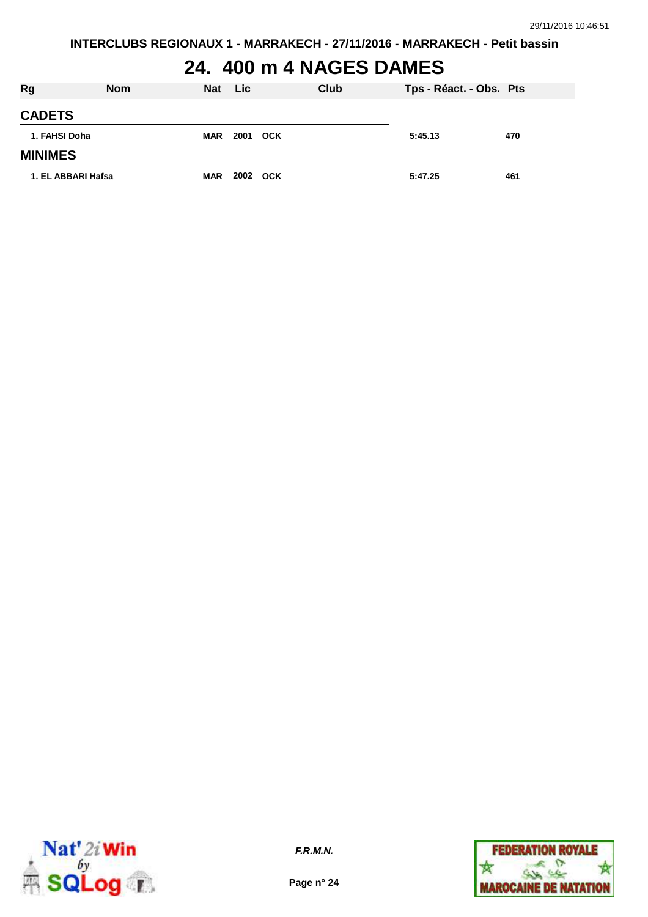# **24. 400 m 4 NAGES DAMES**

| <b>Rg</b>          | <b>Nom</b> | <b>Nat</b> | <b>Lic</b> | Club | Tps - Réact. - Obs. Pts |     |
|--------------------|------------|------------|------------|------|-------------------------|-----|
| <b>CADETS</b>      |            |            |            |      |                         |     |
| 1. FAHSI Doha      |            | <b>MAR</b> | 2001 OCK   |      | 5:45.13                 | 470 |
| <b>MINIMES</b>     |            |            |            |      |                         |     |
| 1. EL ABBARI Hafsa |            | <b>MAR</b> | 2002 OCK   |      | 5:47.25                 | 461 |



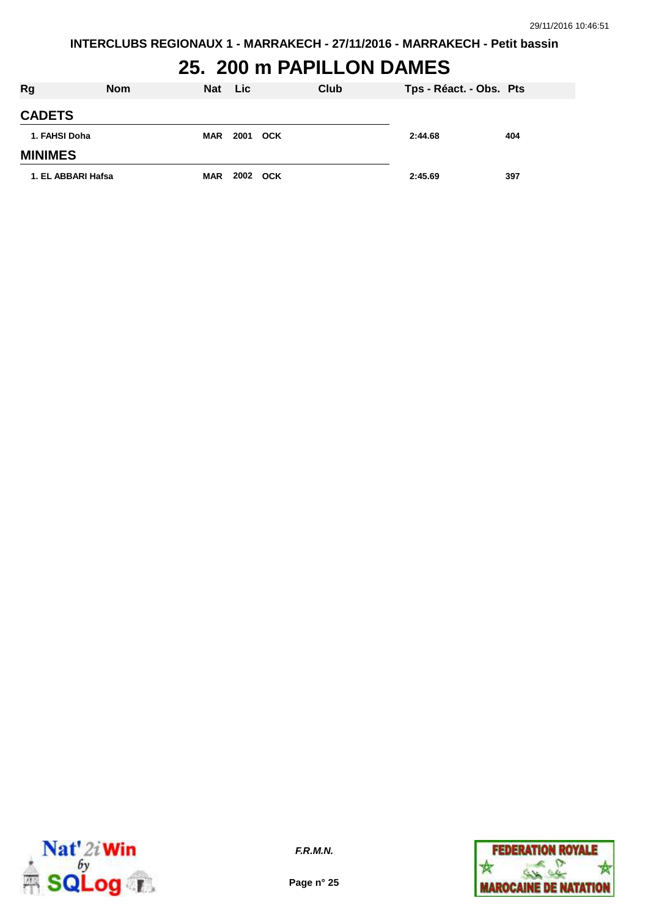# **25. 200 m PAPILLON DAMES**

| <b>Rg</b>          | <b>Nom</b> | <b>Nat</b> | <b>Lic</b> |            | Club | Tps - Réact. - Obs. Pts |     |
|--------------------|------------|------------|------------|------------|------|-------------------------|-----|
| <b>CADETS</b>      |            |            |            |            |      |                         |     |
| 1. FAHSI Doha      |            | <b>MAR</b> | 2001       | <b>OCK</b> |      | 2:44.68                 | 404 |
| <b>MINIMES</b>     |            |            |            |            |      |                         |     |
| 1. EL ABBARI Hafsa |            | <b>MAR</b> | 2002 OCK   |            |      | 2:45.69                 | 397 |



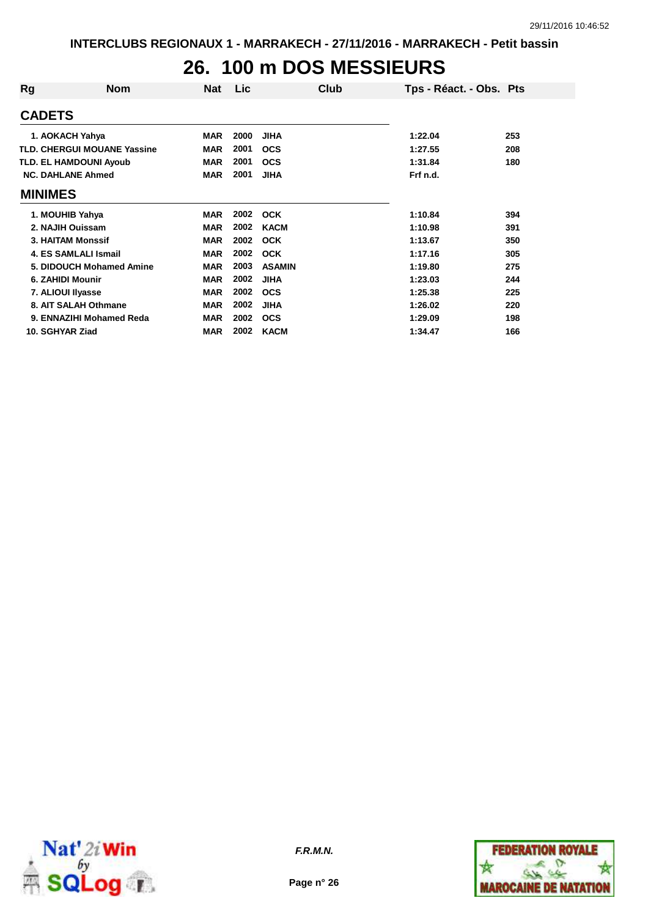## **26. 100 m DOS MESSIEURS**

| Rg                | <b>Nom</b>                         | Nat        | <b>Lic</b> | Club          | Tps - Réact. - Obs. Pts |     |
|-------------------|------------------------------------|------------|------------|---------------|-------------------------|-----|
| <b>CADETS</b>     |                                    |            |            |               |                         |     |
| 1. AOKACH Yahya   |                                    | <b>MAR</b> | 2000       | <b>JIHA</b>   | 1:22.04                 | 253 |
|                   | <b>TLD. CHERGUI MOUANE Yassine</b> | <b>MAR</b> | 2001       | <b>OCS</b>    | 1:27.55                 | 208 |
|                   | <b>TLD. EL HAMDOUNI Ayoub</b>      | <b>MAR</b> | 2001       | <b>OCS</b>    | 1:31.84                 | 180 |
|                   | <b>NC. DAHLANE Ahmed</b>           | <b>MAR</b> | 2001       | <b>JIHA</b>   | Frf n.d.                |     |
| <b>MINIMES</b>    |                                    |            |            |               |                         |     |
| 1. MOUHIB Yahya   |                                    | <b>MAR</b> | 2002       | <b>OCK</b>    | 1:10.84                 | 394 |
| 2. NAJIH Ouissam  |                                    | <b>MAR</b> | 2002       | <b>KACM</b>   | 1:10.98                 | 391 |
|                   | <b>3. HAITAM Monssif</b>           | <b>MAR</b> | 2002       | <b>OCK</b>    | 1:13.67                 | 350 |
|                   | 4. ES SAMLALI Ismail               | <b>MAR</b> | 2002       | <b>OCK</b>    | 1:17.16                 | 305 |
|                   | 5. DIDOUCH Mohamed Amine           | <b>MAR</b> | 2003       | <b>ASAMIN</b> | 1:19.80                 | 275 |
| 6. ZAHIDI Mounir  |                                    | <b>MAR</b> | 2002       | <b>JIHA</b>   | 1:23.03                 | 244 |
| 7. ALIOUI Ilyasse |                                    | <b>MAR</b> | 2002       | <b>OCS</b>    | 1:25.38                 | 225 |
|                   | 8. AIT SALAH Othmane               | <b>MAR</b> | 2002       | <b>JIHA</b>   | 1:26.02                 | 220 |
|                   | 9. ENNAZIHI Mohamed Reda           | <b>MAR</b> | 2002       | <b>OCS</b>    | 1:29.09                 | 198 |
| 10. SGHYAR Ziad   |                                    | <b>MAR</b> | 2002       | <b>KACM</b>   | 1:34.47                 | 166 |



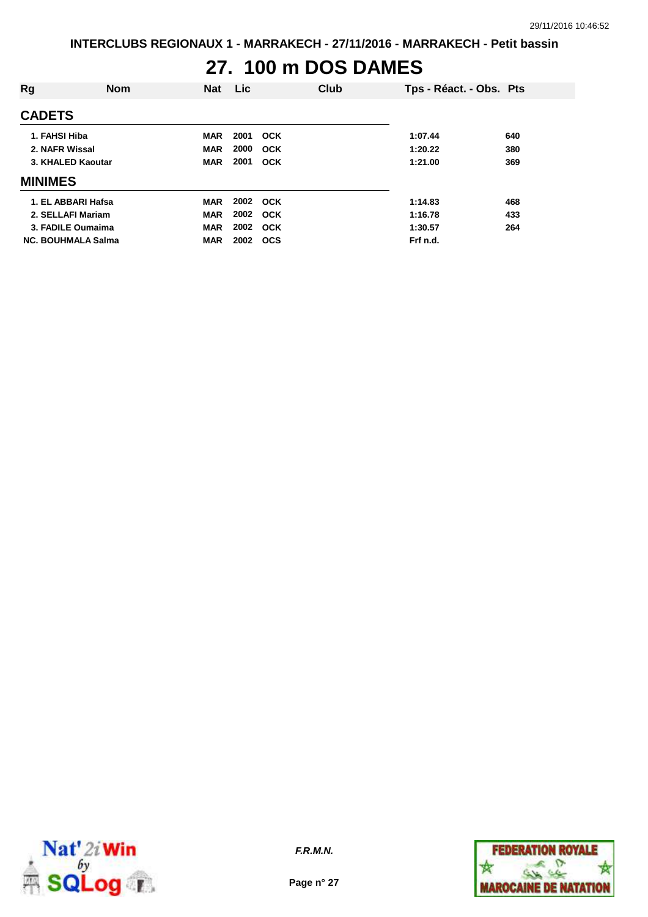#### **27. 100 m DOS DAMES**

| Rg                        | <b>Nom</b> | <b>Nat</b> | <b>Lic</b> |            | <b>Club</b> | Tps - Réact. - Obs. Pts |     |
|---------------------------|------------|------------|------------|------------|-------------|-------------------------|-----|
| <b>CADETS</b>             |            |            |            |            |             |                         |     |
| 1. FAHSI Hiba             |            | <b>MAR</b> | 2001       | <b>OCK</b> |             | 1:07.44                 | 640 |
| 2. NAFR Wissal            |            | <b>MAR</b> | 2000       | <b>OCK</b> |             | 1:20.22                 | 380 |
| 3. KHALED Kaoutar         |            | <b>MAR</b> | 2001       | <b>OCK</b> |             | 1:21.00                 | 369 |
| <b>MINIMES</b>            |            |            |            |            |             |                         |     |
| 1. EL ABBARI Hafsa        |            | <b>MAR</b> | 2002 OCK   |            |             | 1:14.83                 | 468 |
| 2. SELLAFI Mariam         |            | <b>MAR</b> | 2002       | <b>OCK</b> |             | 1:16.78                 | 433 |
| 3. FADILE Oumaima         |            | <b>MAR</b> | 2002       | OCK        |             | 1:30.57                 | 264 |
| <b>NC. BOUHMALA Salma</b> |            | <b>MAR</b> | 2002       | <b>OCS</b> |             | Frf n.d.                |     |



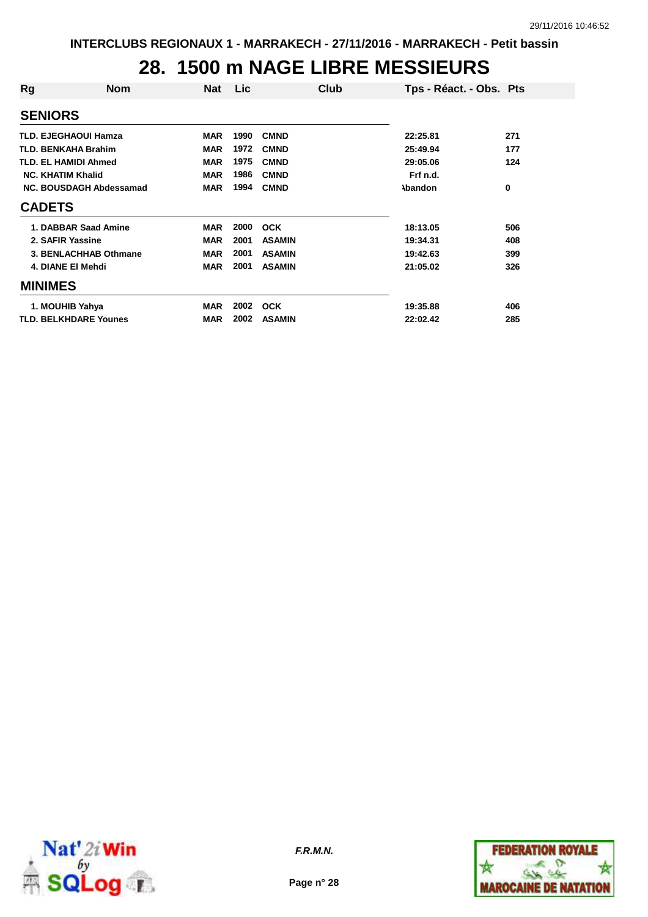#### **28. 1500 m NAGE LIBRE MESSIEURS**

| Rg                       | <b>Nom</b>                   | Nat        | Lic  | Club          | Tps - Réact. - Obs. Pts |     |
|--------------------------|------------------------------|------------|------|---------------|-------------------------|-----|
| <b>SENIORS</b>           |                              |            |      |               |                         |     |
|                          | <b>TLD. EJEGHAOUI Hamza</b>  | <b>MAR</b> | 1990 | <b>CMND</b>   | 22:25.81                | 271 |
|                          | <b>TLD. BENKAHA Brahim</b>   | <b>MAR</b> | 1972 | <b>CMND</b>   | 25:49.94                | 177 |
|                          | <b>TLD. EL HAMIDI Ahmed</b>  | <b>MAR</b> | 1975 | <b>CMND</b>   | 29:05.06                | 124 |
| <b>NC. KHATIM Khalid</b> |                              | <b>MAR</b> | 1986 | <b>CMND</b>   | Frf n.d.                |     |
|                          | NC. BOUSDAGH Abdessamad      | <b>MAR</b> | 1994 | <b>CMND</b>   | <b>\bandon</b>          | 0   |
| <b>CADETS</b>            |                              |            |      |               |                         |     |
|                          | 1. DABBAR Saad Amine         | <b>MAR</b> | 2000 | <b>OCK</b>    | 18:13.05                | 506 |
|                          | 2. SAFIR Yassine             | <b>MAR</b> | 2001 | <b>ASAMIN</b> | 19:34.31                | 408 |
|                          | 3. BENLACHHAB Othmane        | <b>MAR</b> | 2001 | <b>ASAMIN</b> | 19:42.63                | 399 |
|                          | 4. DIANE EI Mehdi            | <b>MAR</b> | 2001 | <b>ASAMIN</b> | 21:05.02                | 326 |
| <b>MINIMES</b>           |                              |            |      |               |                         |     |
|                          | 1. MOUHIB Yahya              | <b>MAR</b> | 2002 | <b>OCK</b>    | 19:35.88                | 406 |
|                          | <b>TLD. BELKHDARE Younes</b> | <b>MAR</b> | 2002 | <b>ASAMIN</b> | 22:02.42                | 285 |



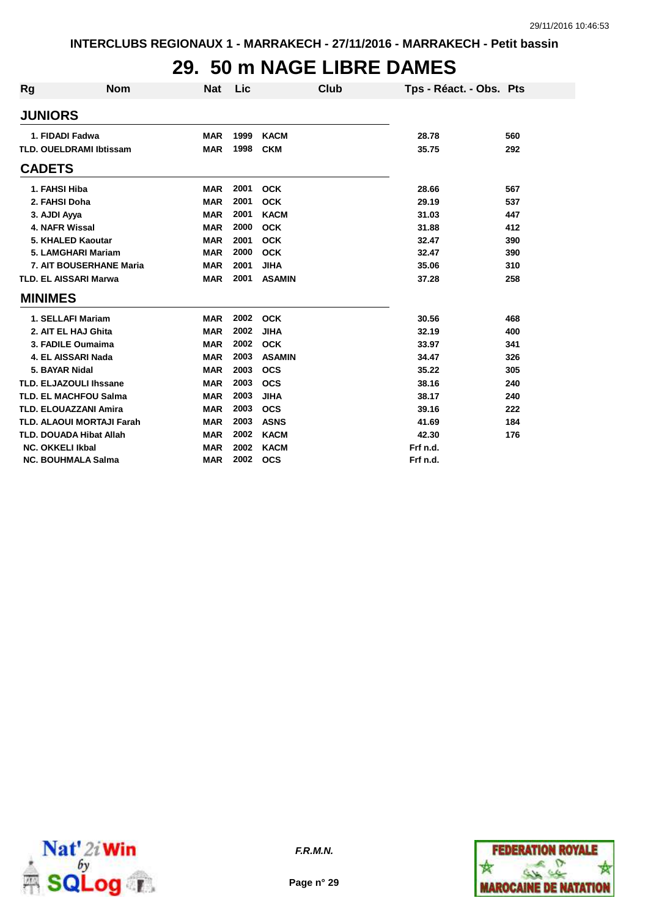### **29. 50 m NAGE LIBRE DAMES**

| <b>Rg</b>     | <b>Nom</b>                       | <b>Nat</b> | Lic  | Club          | Tps - Réact. - Obs. Pts |     |
|---------------|----------------------------------|------------|------|---------------|-------------------------|-----|
|               | <b>JUNIORS</b>                   |            |      |               |                         |     |
|               | 1. FIDADI Fadwa                  | <b>MAR</b> | 1999 | <b>KACM</b>   | 28.78                   | 560 |
|               | <b>TLD. OUELDRAMI Ibtissam</b>   | <b>MAR</b> | 1998 | <b>CKM</b>    | 35.75                   | 292 |
| <b>CADETS</b> |                                  |            |      |               |                         |     |
|               | 1. FAHSI Hiba                    | <b>MAR</b> | 2001 | <b>OCK</b>    | 28.66                   | 567 |
|               | 2. FAHSI Doha                    | <b>MAR</b> | 2001 | <b>OCK</b>    | 29.19                   | 537 |
|               | 3. AJDI Ayya                     | <b>MAR</b> | 2001 | <b>KACM</b>   | 31.03                   | 447 |
|               | 4. NAFR Wissal                   | <b>MAR</b> | 2000 | <b>OCK</b>    | 31.88                   | 412 |
|               | 5. KHALED Kaoutar                | <b>MAR</b> | 2001 | <b>OCK</b>    | 32.47                   | 390 |
|               | 5. LAMGHARI Mariam               | <b>MAR</b> | 2000 | <b>OCK</b>    | 32.47                   | 390 |
|               | 7. AIT BOUSERHANE Maria          | <b>MAR</b> | 2001 | <b>JIHA</b>   | 35.06                   | 310 |
|               | <b>TLD. EL AISSARI Marwa</b>     | <b>MAR</b> | 2001 | <b>ASAMIN</b> | 37.28                   | 258 |
|               | <b>MINIMES</b>                   |            |      |               |                         |     |
|               | 1. SELLAFI Mariam                | <b>MAR</b> | 2002 | <b>OCK</b>    | 30.56                   | 468 |
|               | 2. AIT EL HAJ Ghita              | <b>MAR</b> | 2002 | <b>JIHA</b>   | 32.19                   | 400 |
|               | 3. FADILE Oumaima                | <b>MAR</b> | 2002 | <b>OCK</b>    | 33.97                   | 341 |
|               | 4. EL AISSARI Nada               | <b>MAR</b> | 2003 | <b>ASAMIN</b> | 34.47                   | 326 |
|               | 5. BAYAR Nidal                   | <b>MAR</b> | 2003 | <b>OCS</b>    | 35.22                   | 305 |
|               | <b>TLD. ELJAZOULI Ihssane</b>    | <b>MAR</b> | 2003 | <b>OCS</b>    | 38.16                   | 240 |
|               | <b>TLD. EL MACHFOU Salma</b>     | <b>MAR</b> | 2003 | <b>JIHA</b>   | 38.17                   | 240 |
|               | <b>TLD. ELOUAZZANI Amira</b>     | <b>MAR</b> | 2003 | <b>OCS</b>    | 39.16                   | 222 |
|               | <b>TLD. ALAOUI MORTAJI Farah</b> | <b>MAR</b> | 2003 | <b>ASNS</b>   | 41.69                   | 184 |
|               | <b>TLD. DOUADA Hibat Allah</b>   | <b>MAR</b> | 2002 | <b>KACM</b>   | 42.30                   | 176 |
|               | <b>NC. OKKELI Ikbal</b>          | <b>MAR</b> | 2002 | <b>KACM</b>   | Frf n.d.                |     |
|               | <b>NC. BOUHMALA Salma</b>        | <b>MAR</b> | 2002 | <b>OCS</b>    | Frf n.d.                |     |



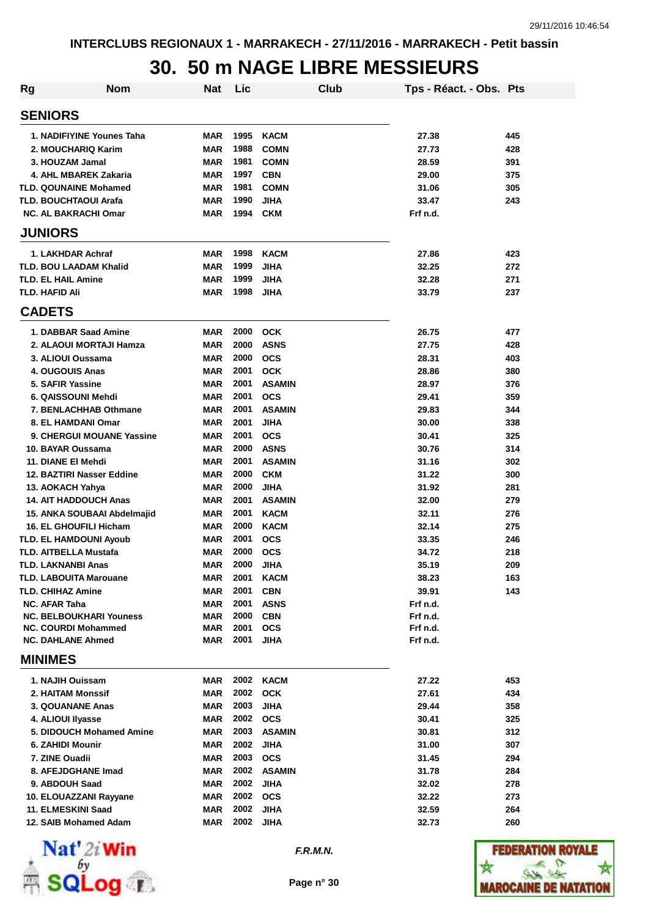### **30. 50 m NAGE LIBRE MESSIEURS**

| Rg                        | <b>Nom</b>                            | <b>Nat</b>               | Lic          | Club                      | Tps - Réact. - Obs. Pts |            |
|---------------------------|---------------------------------------|--------------------------|--------------|---------------------------|-------------------------|------------|
| <b>SENIORS</b>            |                                       |                          |              |                           |                         |            |
|                           | 1. NADIFIYINE Younes Taha             | <b>MAR</b>               | 1995         | <b>KACM</b>               | 27.38                   | 445        |
|                           | 2. MOUCHARIQ Karim                    | <b>MAR</b>               | 1988         | <b>COMN</b>               | 27.73                   | 428        |
|                           | 3. HOUZAM Jamal                       | <b>MAR</b>               | 1981         | <b>COMN</b>               | 28.59                   | 391        |
|                           | 4. AHL MBAREK Zakaria                 | <b>MAR</b>               | 1997         | <b>CBN</b>                | 29.00                   | 375        |
|                           | <b>TLD. QOUNAINE Mohamed</b>          | <b>MAR</b>               | 1981         | <b>COMN</b>               | 31.06                   | 305        |
|                           | <b>TLD. BOUCHTAOUI Arafa</b>          | <b>MAR</b>               | 1990         | <b>JIHA</b>               | 33.47                   | 243        |
|                           | <b>NC. AL BAKRACHI Omar</b>           | <b>MAR</b>               | 1994         | <b>CKM</b>                | Frf n.d.                |            |
| <b>JUNIORS</b>            |                                       |                          |              |                           |                         |            |
|                           | 1. LAKHDAR Achraf                     | <b>MAR</b>               | 1998         | <b>KACM</b>               | 27.86                   | 423        |
|                           | <b>TLD. BOU LAADAM Khalid</b>         | <b>MAR</b>               | 1999         | <b>JIHA</b>               | 32.25                   | 272        |
| <b>TLD. EL HAIL Amine</b> |                                       | <b>MAR</b>               | 1999         | <b>JIHA</b>               | 32.28                   | 271        |
| <b>TLD. HAFID Ali</b>     |                                       | <b>MAR</b>               | 1998         | <b>JIHA</b>               | 33.79                   | 237        |
| <b>CADETS</b>             |                                       |                          |              |                           |                         |            |
|                           | 1. DABBAR Saad Amine                  | <b>MAR</b>               | 2000         | <b>OCK</b>                | 26.75                   | 477        |
|                           | 2. ALAOUI MORTAJI Hamza               | <b>MAR</b>               | 2000         | <b>ASNS</b>               | 27.75                   | 428        |
|                           | 3. ALIOUI Oussama                     | <b>MAR</b>               | 2000         | <b>OCS</b>                | 28.31                   | 403        |
|                           | 4. OUGOUIS Anas                       | <b>MAR</b>               | 2001         | <b>OCK</b>                | 28.86                   | 380        |
| 5. SAFIR Yassine          |                                       | <b>MAR</b>               | 2001         | <b>ASAMIN</b>             | 28.97                   | 376        |
|                           | 6. QAISSOUNI Mehdi                    | <b>MAR</b>               | 2001         | <b>OCS</b>                | 29.41                   | 359        |
|                           | 7. BENLACHHAB Othmane                 | <b>MAR</b>               | 2001         | <b>ASAMIN</b>             | 29.83                   | 344        |
|                           | 8. EL HAMDANI Omar                    | <b>MAR</b>               | 2001         | <b>JIHA</b>               | 30.00                   | 338        |
|                           | 9. CHERGUI MOUANE Yassine             | <b>MAR</b>               | 2001<br>2000 | <b>OCS</b><br><b>ASNS</b> | 30.41                   | 325<br>314 |
| 11. DIANE EI Mehdi        | 10. BAYAR Oussama                     | <b>MAR</b><br><b>MAR</b> | 2001         | <b>ASAMIN</b>             | 30.76<br>31.16          | 302        |
|                           | 12. BAZTIRI Nasser Eddine             | <b>MAR</b>               | 2000         | <b>CKM</b>                | 31.22                   | 300        |
| 13. AOKACH Yahya          |                                       | <b>MAR</b>               | 2000         | <b>JIHA</b>               | 31.92                   | 281        |
|                           | <b>14. AIT HADDOUCH Anas</b>          | <b>MAR</b>               | 2001         | <b>ASAMIN</b>             | 32.00                   | 279        |
|                           | 15. ANKA SOUBAAI Abdelmajid           | <b>MAR</b>               | 2001         | <b>KACM</b>               | 32.11                   | 276        |
|                           | <b>16. EL GHOUFILI Hicham</b>         | <b>MAR</b>               | 2000         | <b>KACM</b>               | 32.14                   | 275        |
|                           | <b>TLD. EL HAMDOUNI Ayoub</b>         | <b>MAR</b>               | 2001         | <b>OCS</b>                | 33.35                   | 246        |
|                           | <b>TLD. AITBELLA Mustafa</b>          | MAR                      | 2000         | <b>OCS</b>                | 34.72                   | 218        |
| <b>TLD. LAKNANBI Anas</b> |                                       | MAR                      | 2000         | <b>JIHA</b>               | 35.19                   | 209        |
|                           | <b>TLD. LABOUITA Marouane</b>         | MAR                      | 2001         | <b>KACM</b>               | 38.23                   | 163        |
| <b>TLD. CHIHAZ Amine</b>  |                                       | MAR                      | 2001         | <b>CBN</b>                | 39.91                   | 143        |
| <b>NC. AFAR Taha</b>      |                                       | <b>MAR</b>               | 2001         | <b>ASNS</b>               | Frf n.d.                |            |
|                           | <b>NC. BELBOUKHARI Youness</b>        | <b>MAR</b>               | 2000         | <b>CBN</b>                | Frf n.d.                |            |
|                           | <b>NC. COURDI Mohammed</b>            | MAR                      | 2001         | <b>OCS</b>                | Frf n.d.                |            |
| <b>MINIMES</b>            | <b>NC. DAHLANE Ahmed</b>              | MAR                      | 2001         | JIHA                      | Frf n.d.                |            |
|                           |                                       |                          |              | 2002 KACM                 |                         |            |
|                           | 1. NAJIH Ouissam                      | <b>MAR</b>               | 2002         |                           | 27.22                   | 453        |
|                           | 2. HAITAM Monssif<br>3. QOUANANE Anas | <b>MAR</b><br><b>MAR</b> | 2003         | <b>OCK</b><br><b>JIHA</b> | 27.61<br>29.44          | 434<br>358 |
| 4. ALIOUI IIyasse         |                                       | <b>MAR</b>               | 2002         | <b>OCS</b>                | 30.41                   | 325        |
|                           | 5. DIDOUCH Mohamed Amine              | <b>MAR</b>               | 2003         | <b>ASAMIN</b>             | 30.81                   | 312        |
| 6. ZAHIDI Mounir          |                                       | <b>MAR</b>               | 2002         | <b>JIHA</b>               | 31.00                   | 307        |
| 7. ZINE Ouadii            |                                       | MAR                      | 2003         | <b>OCS</b>                | 31.45                   | 294        |
|                           | 8. AFEJDGHANE Imad                    | MAR                      | 2002         | <b>ASAMIN</b>             | 31.78                   | 284        |
| 9. ABDOUH Saad            |                                       | MAR                      | 2002         | <b>JIHA</b>               | 32.02                   | 278        |
|                           | 10. ELOUAZZANI Rayyane                | MAR                      | 2002         | <b>OCS</b>                | 32.22                   | 273        |
|                           | 11. ELMESKINI Saad                    | MAR                      | 2002         | <b>JIHA</b>               | 32.59                   | 264        |
|                           | 12. SAIB Mohamed Adam                 | MAR                      | 2002         | <b>JIHA</b>               | 32.73                   | 260        |
|                           |                                       |                          |              |                           |                         |            |